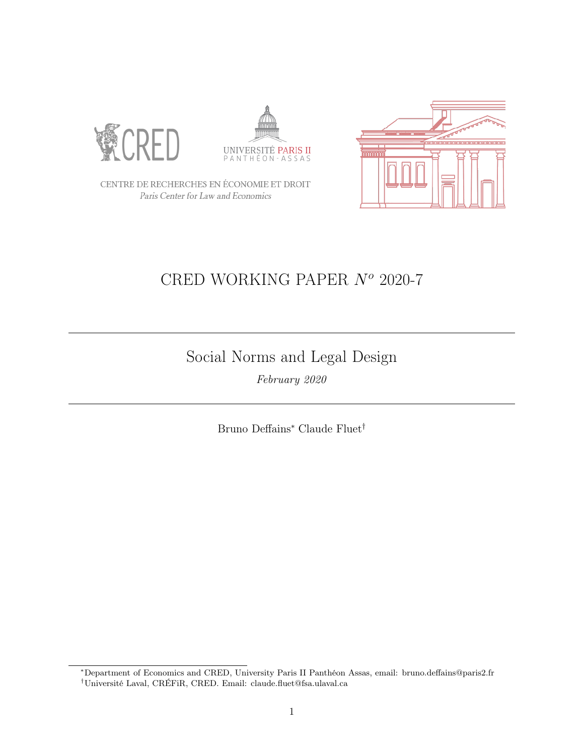





CENTRE DE RECHERCHES EN ÉCONOMIE ET DROIT Paris Center for Law and Economics

# CRED WORKING PAPER  $N^o$  2020-7

# Social Norms and Legal Design

February 2020

Bruno Deffains<sup>∗</sup> Claude Fluet†

<sup>∗</sup>Department of Economics and CRED, University Paris II Panthéon Assas, email: bruno.deffains@paris2.fr †Université Laval, CRÉFiR, CRED. Email: claude.fluet@fsa.ulaval.ca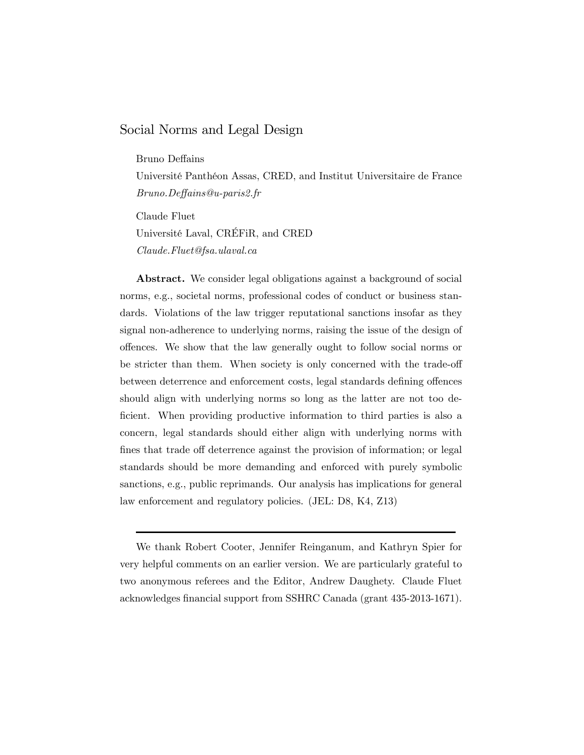# Social Norms and Legal Design

Bruno Deffains

Université Panthéon Assas, CRED, and Institut Universitaire de France  $Bruno. Deffains@u-paris2.fr$ 

Claude Fluet Université Laval, CRÉFIR, and CRED Claude.Fluet@fsa.ulaval.ca

Abstract. We consider legal obligations against a background of social norms, e.g., societal norms, professional codes of conduct or business standards. Violations of the law trigger reputational sanctions insofar as they signal non-adherence to underlying norms, raising the issue of the design of o§ences. We show that the law generally ought to follow social norms or be stricter than them. When society is only concerned with the trade-off between deterrence and enforcement costs, legal standards defining offences should align with underlying norms so long as the latter are not too deficient. When providing productive information to third parties is also a concern, legal standards should either align with underlying norms with fines that trade off deterrence against the provision of information; or legal standards should be more demanding and enforced with purely symbolic sanctions, e.g., public reprimands. Our analysis has implications for general law enforcement and regulatory policies. (JEL: D8, K4, Z13)

We thank Robert Cooter, Jennifer Reinganum, and Kathryn Spier for very helpful comments on an earlier version. We are particularly grateful to two anonymous referees and the Editor, Andrew Daughety. Claude Fluet acknowledges financial support from SSHRC Canada (grant 435-2013-1671).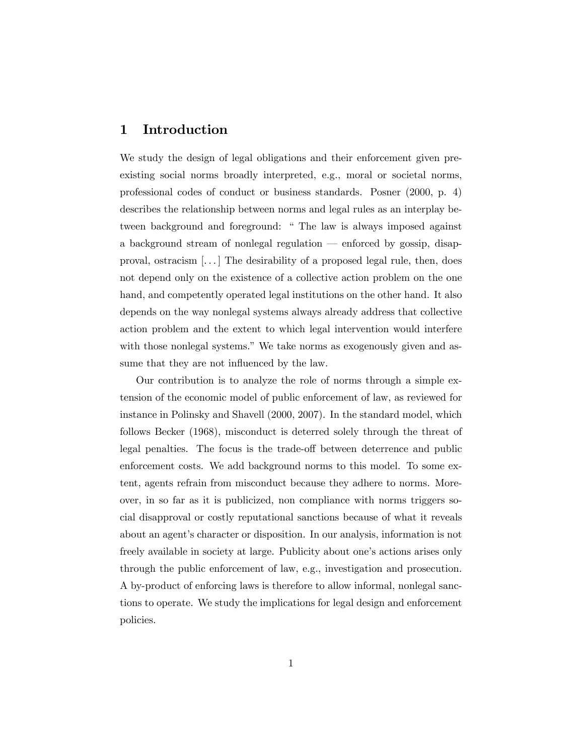# 1 Introduction

We study the design of legal obligations and their enforcement given preexisting social norms broadly interpreted, e.g., moral or societal norms, professional codes of conduct or business standards. Posner (2000, p. 4) describes the relationship between norms and legal rules as an interplay between background and foreground: "The law is always imposed against a background stream of nonlegal regulation  $\sim$  enforced by gossip, disapproval, ostracism  $[\ldots]$  The desirability of a proposed legal rule, then, does not depend only on the existence of a collective action problem on the one hand, and competently operated legal institutions on the other hand. It also depends on the way nonlegal systems always already address that collective action problem and the extent to which legal intervention would interfere with those nonlegal systems." We take norms as exogenously given and assume that they are not influenced by the law.

Our contribution is to analyze the role of norms through a simple extension of the economic model of public enforcement of law, as reviewed for instance in Polinsky and Shavell (2000, 2007). In the standard model, which follows Becker (1968), misconduct is deterred solely through the threat of legal penalties. The focus is the trade-off between deterrence and public enforcement costs. We add background norms to this model. To some extent, agents refrain from misconduct because they adhere to norms. Moreover, in so far as it is publicized, non compliance with norms triggers social disapproval or costly reputational sanctions because of what it reveals about an agent's character or disposition. In our analysis, information is not freely available in society at large. Publicity about one's actions arises only through the public enforcement of law, e.g., investigation and prosecution. A by-product of enforcing laws is therefore to allow informal, nonlegal sanctions to operate. We study the implications for legal design and enforcement policies.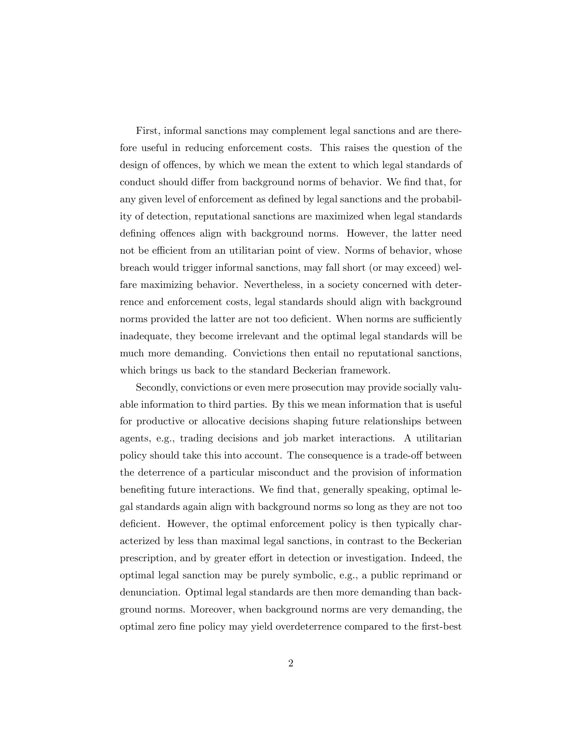First, informal sanctions may complement legal sanctions and are therefore useful in reducing enforcement costs. This raises the question of the design of offences, by which we mean the extent to which legal standards of conduct should differ from background norms of behavior. We find that, for any given level of enforcement as defined by legal sanctions and the probability of detection, reputational sanctions are maximized when legal standards defining offences align with background norms. However, the latter need not be efficient from an utilitarian point of view. Norms of behavior, whose breach would trigger informal sanctions, may fall short (or may exceed) welfare maximizing behavior. Nevertheless, in a society concerned with deterrence and enforcement costs, legal standards should align with background norms provided the latter are not too deficient. When norms are sufficiently inadequate, they become irrelevant and the optimal legal standards will be much more demanding. Convictions then entail no reputational sanctions, which brings us back to the standard Beckerian framework.

Secondly, convictions or even mere prosecution may provide socially valuable information to third parties. By this we mean information that is useful for productive or allocative decisions shaping future relationships between agents, e.g., trading decisions and job market interactions. A utilitarian policy should take this into account. The consequence is a trade-off between the deterrence of a particular misconduct and the provision of information benefiting future interactions. We find that, generally speaking, optimal legal standards again align with background norms so long as they are not too deficient. However, the optimal enforcement policy is then typically characterized by less than maximal legal sanctions, in contrast to the Beckerian prescription, and by greater effort in detection or investigation. Indeed, the optimal legal sanction may be purely symbolic, e.g., a public reprimand or denunciation. Optimal legal standards are then more demanding than background norms. Moreover, when background norms are very demanding, the optimal zero Öne policy may yield overdeterrence compared to the Örst-best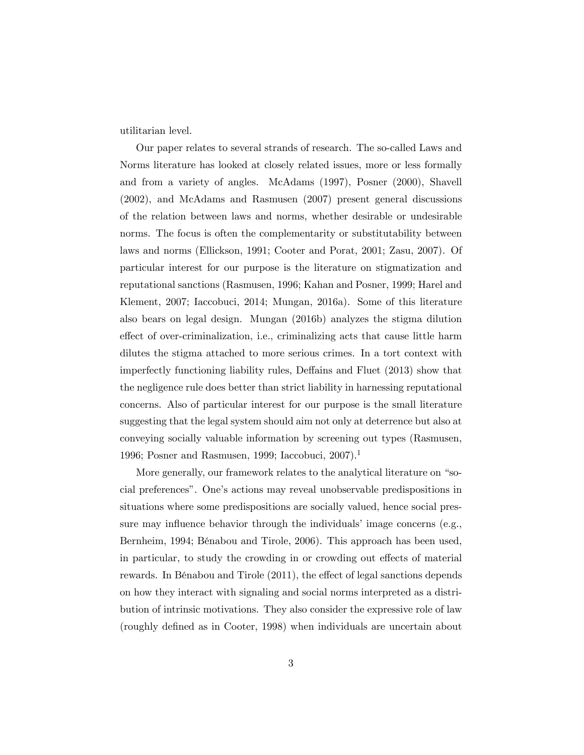utilitarian level.

Our paper relates to several strands of research. The so-called Laws and Norms literature has looked at closely related issues, more or less formally and from a variety of angles. McAdams (1997), Posner (2000), Shavell (2002), and McAdams and Rasmusen (2007) present general discussions of the relation between laws and norms, whether desirable or undesirable norms. The focus is often the complementarity or substitutability between laws and norms (Ellickson, 1991; Cooter and Porat, 2001; Zasu, 2007). Of particular interest for our purpose is the literature on stigmatization and reputational sanctions (Rasmusen, 1996; Kahan and Posner, 1999; Harel and Klement, 2007; Iaccobuci, 2014; Mungan, 2016a). Some of this literature also bears on legal design. Mungan (2016b) analyzes the stigma dilution effect of over-criminalization, i.e., criminalizing acts that cause little harm dilutes the stigma attached to more serious crimes. In a tort context with imperfectly functioning liability rules, Deffains and Fluet (2013) show that the negligence rule does better than strict liability in harnessing reputational concerns. Also of particular interest for our purpose is the small literature suggesting that the legal system should aim not only at deterrence but also at conveying socially valuable information by screening out types (Rasmusen, 1996; Posner and Rasmusen, 1999; Iaccobuci, 2007).<sup>1</sup>

More generally, our framework relates to the analytical literature on "social preferencesî. Oneís actions may reveal unobservable predispositions in situations where some predispositions are socially valued, hence social pressure may influence behavior through the individuals' image concerns (e.g., Bernheim, 1994; BÈnabou and Tirole, 2006). This approach has been used, in particular, to study the crowding in or crowding out effects of material rewards. In Bénabou and Tirole  $(2011)$ , the effect of legal sanctions depends on how they interact with signaling and social norms interpreted as a distribution of intrinsic motivations. They also consider the expressive role of law (roughly deÖned as in Cooter, 1998) when individuals are uncertain about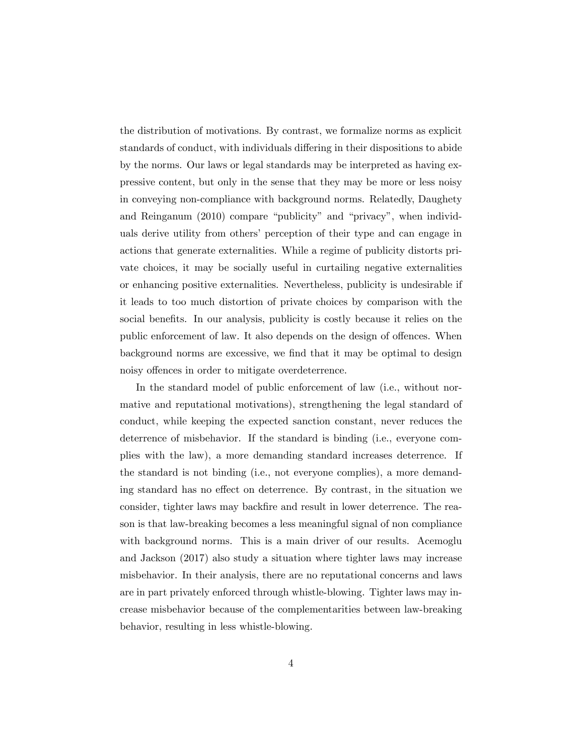the distribution of motivations. By contrast, we formalize norms as explicit standards of conduct, with individuals differing in their dispositions to abide by the norms. Our laws or legal standards may be interpreted as having expressive content, but only in the sense that they may be more or less noisy in conveying non-compliance with background norms. Relatedly, Daughety and Reinganum  $(2010)$  compare "publicity" and "privacy", when individuals derive utility from others' perception of their type and can engage in actions that generate externalities. While a regime of publicity distorts private choices, it may be socially useful in curtailing negative externalities or enhancing positive externalities. Nevertheless, publicity is undesirable if it leads to too much distortion of private choices by comparison with the social benefits. In our analysis, publicity is costly because it relies on the public enforcement of law. It also depends on the design of offences. When background norms are excessive, we Önd that it may be optimal to design noisy offences in order to mitigate overdeterrence.

In the standard model of public enforcement of law (i.e., without normative and reputational motivations), strengthening the legal standard of conduct, while keeping the expected sanction constant, never reduces the deterrence of misbehavior. If the standard is binding (i.e., everyone complies with the law), a more demanding standard increases deterrence. If the standard is not binding (i.e., not everyone complies), a more demanding standard has no effect on deterrence. By contrast, in the situation we consider, tighter laws may backfire and result in lower deterrence. The reason is that law-breaking becomes a less meaningful signal of non compliance with background norms. This is a main driver of our results. Acemoglu and Jackson (2017) also study a situation where tighter laws may increase misbehavior. In their analysis, there are no reputational concerns and laws are in part privately enforced through whistle-blowing. Tighter laws may increase misbehavior because of the complementarities between law-breaking behavior, resulting in less whistle-blowing.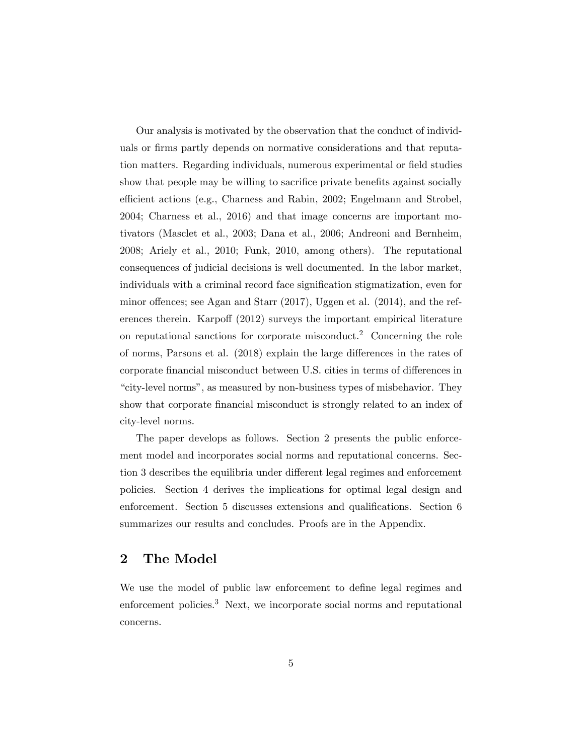Our analysis is motivated by the observation that the conduct of individuals or firms partly depends on normative considerations and that reputation matters. Regarding individuals, numerous experimental or field studies show that people may be willing to sacrifice private benefits against socially efficient actions (e.g., Charness and Rabin, 2002; Engelmann and Strobel, 2004; Charness et al., 2016) and that image concerns are important motivators (Masclet et al., 2003; Dana et al., 2006; Andreoni and Bernheim, 2008; Ariely et al., 2010; Funk, 2010, among others). The reputational consequences of judicial decisions is well documented. In the labor market, individuals with a criminal record face signification stigmatization, even for minor offences; see Agan and Starr  $(2017)$ , Uggen et al.  $(2014)$ , and the references therein. Karpoff (2012) surveys the important empirical literature on reputational sanctions for corporate misconduct.<sup>2</sup> Concerning the role of norms, Parsons et al.  $(2018)$  explain the large differences in the rates of corporate financial misconduct between U.S. cities in terms of differences in ìcity-level normsî, as measured by non-business types of misbehavior. They show that corporate financial misconduct is strongly related to an index of city-level norms.

The paper develops as follows. Section 2 presents the public enforcement model and incorporates social norms and reputational concerns. Section 3 describes the equilibria under different legal regimes and enforcement policies. Section 4 derives the implications for optimal legal design and enforcement. Section 5 discusses extensions and qualifications. Section 6 summarizes our results and concludes. Proofs are in the Appendix.

## 2 The Model

We use the model of public law enforcement to define legal regimes and enforcement policies.<sup>3</sup> Next, we incorporate social norms and reputational concerns.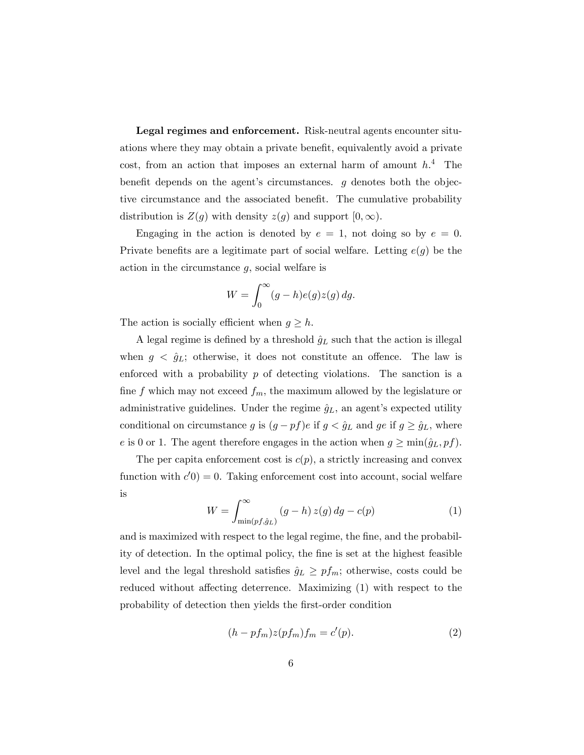Legal regimes and enforcement. Risk-neutral agents encounter situations where they may obtain a private benefit, equivalently avoid a private cost, from an action that imposes an external harm of amount  $h<sup>4</sup>$ . The benefit depends on the agent's circumstances.  $g$  denotes both the objective circumstance and the associated benefit. The cumulative probability distribution is  $Z(g)$  with density  $z(g)$  and support  $[0,\infty)$ .

Engaging in the action is denoted by  $e = 1$ , not doing so by  $e = 0$ . Private benefits are a legitimate part of social welfare. Letting  $e(g)$  be the action in the circumstance  $g$ , social welfare is

$$
W = \int_0^\infty (g - h)e(g)z(g) \, dg.
$$

The action is socially efficient when  $g \geq h$ .

A legal regime is defined by a threshold  $\hat{g}_L$  such that the action is illegal when  $g \langle \hat{g}_L;$  otherwise, it does not constitute an offence. The law is enforced with a probability  $p$  of detecting violations. The sanction is a fine f which may not exceed  $f_m$ , the maximum allowed by the legislature or administrative guidelines. Under the regime  $\hat{g}_L$ , an agent's expected utility conditional on circumstance g is  $(g - pf)e$  if  $g < \hat{g}_L$  and  $ge$  if  $g \ge \hat{g}_L$ , where e is 0 or 1. The agent therefore engages in the action when  $g \ge \min(\hat{g}_L, pf)$ .

The per capita enforcement cost is  $c(p)$ , a strictly increasing and convex function with  $c'(0) = 0$ . Taking enforcement cost into account, social welfare is

$$
W = \int_{\min(pf, \hat{g}_L)}^{\infty} (g - h) z(g) dg - c(p)
$$
 (1)

and is maximized with respect to the legal regime, the fine, and the probability of detection. In the optimal policy, the fine is set at the highest feasible level and the legal threshold satisfies  $\hat{g}_L \geq pf_m$ ; otherwise, costs could be reduced without affecting deterrence. Maximizing  $(1)$  with respect to the probability of detection then yields the first-order condition

$$
(h - pf_m)z(pt_m)f_m = c'(p).
$$
\n(2)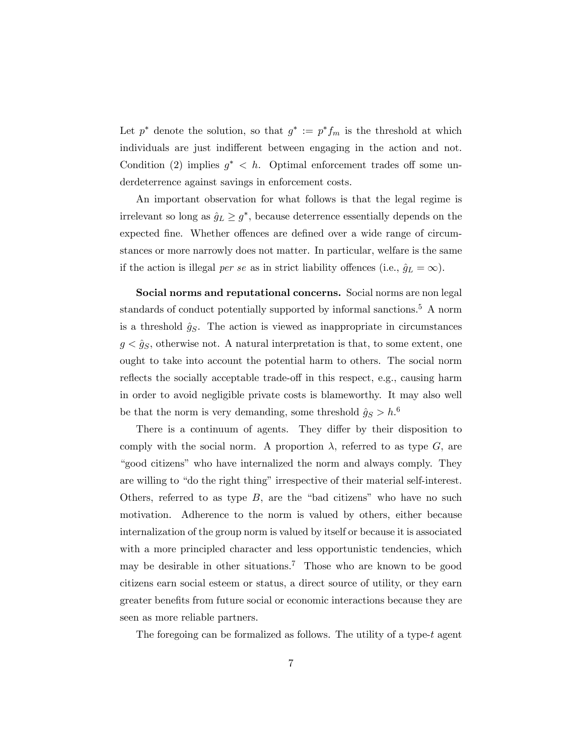Let  $p^*$  denote the solution, so that  $g^* := p^* f_m$  is the threshold at which individuals are just indifferent between engaging in the action and not. Condition (2) implies  $g^* < h$ . Optimal enforcement trades off some underdeterrence against savings in enforcement costs.

An important observation for what follows is that the legal regime is irrelevant so long as  $\hat{g}_L \geq g^*$ , because deterrence essentially depends on the expected fine. Whether offences are defined over a wide range of circumstances or more narrowly does not matter. In particular, welfare is the same if the action is illegal *per se* as in strict liability offences (i.e.,  $\hat{g}_L = \infty$ ).

Social norms and reputational concerns. Social norms are non legal standards of conduct potentially supported by informal sanctions.<sup>5</sup> A norm is a threshold  $\hat{g}_S$ . The action is viewed as inappropriate in circumstances  $g < \hat{g}_S$ , otherwise not. A natural interpretation is that, to some extent, one ought to take into account the potential harm to others. The social norm reflects the socially acceptable trade-off in this respect, e.g., causing harm in order to avoid negligible private costs is blameworthy. It may also well be that the norm is very demanding, some threshold  $\hat{g}_S > h$ .<sup>6</sup>

There is a continuum of agents. They differ by their disposition to comply with the social norm. A proportion  $\lambda$ , referred to as type G, are "good citizens" who have internalized the norm and always comply. They are willing to "do the right thing" irrespective of their material self-interest. Others, referred to as type  $B$ , are the "bad citizens" who have no such motivation. Adherence to the norm is valued by others, either because internalization of the group norm is valued by itself or because it is associated with a more principled character and less opportunistic tendencies, which may be desirable in other situations.<sup>7</sup> Those who are known to be good citizens earn social esteem or status, a direct source of utility, or they earn greater benefits from future social or economic interactions because they are seen as more reliable partners.

The foregoing can be formalized as follows. The utility of a type-t agent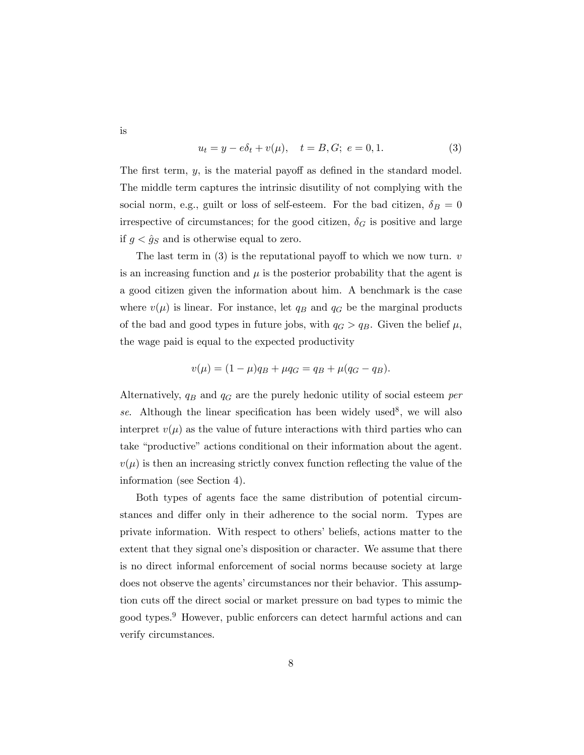$$
u_t = y - e\delta_t + v(\mu), \quad t = B, G; \ e = 0, 1.
$$
 (3)

The first term,  $y$ , is the material payoff as defined in the standard model. The middle term captures the intrinsic disutility of not complying with the social norm, e.g., guilt or loss of self-esteem. For the bad citizen,  $\delta_B = 0$ irrespective of circumstances; for the good citizen,  $\delta_G$  is positive and large if  $g < \hat{g}_S$  and is otherwise equal to zero.

The last term in  $(3)$  is the reputational payoff to which we now turn. v is an increasing function and  $\mu$  is the posterior probability that the agent is a good citizen given the information about him. A benchmark is the case where  $v(\mu)$  is linear. For instance, let  $q_B$  and  $q_G$  be the marginal products of the bad and good types in future jobs, with  $q_G > q_B$ . Given the belief  $\mu$ , the wage paid is equal to the expected productivity

$$
v(\mu) = (1 - \mu)q_B + \mu q_G = q_B + \mu (q_G - q_B).
$$

Alternatively,  $q_B$  and  $q_G$  are the purely hedonic utility of social esteem *per* se. Although the linear specification has been widely used<sup>8</sup>, we will also interpret  $v(\mu)$  as the value of future interactions with third parties who can take "productive" actions conditional on their information about the agent.  $v(\mu)$  is then an increasing strictly convex function reflecting the value of the information (see Section 4).

Both types of agents face the same distribution of potential circumstances and differ only in their adherence to the social norm. Types are private information. With respect to others' beliefs, actions matter to the extent that they signal one's disposition or character. We assume that there is no direct informal enforcement of social norms because society at large does not observe the agents' circumstances nor their behavior. This assumption cuts off the direct social or market pressure on bad types to mimic the good types.<sup>9</sup> However, public enforcers can detect harmful actions and can verify circumstances.

is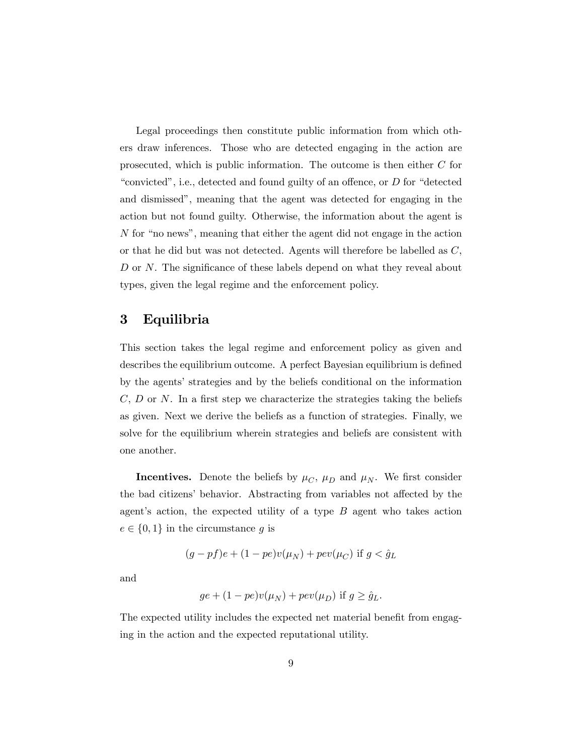Legal proceedings then constitute public information from which others draw inferences. Those who are detected engaging in the action are prosecuted, which is public information. The outcome is then either C for "convicted", i.e., detected and found guilty of an offence, or  $D$  for "detected" and dismissedî, meaning that the agent was detected for engaging in the action but not found guilty. Otherwise, the information about the agent is  $N$  for "no news", meaning that either the agent did not engage in the action or that he did but was not detected. Agents will therefore be labelled as C,  $D$  or  $N$ . The significance of these labels depend on what they reveal about types, given the legal regime and the enforcement policy.

# 3 Equilibria

This section takes the legal regime and enforcement policy as given and describes the equilibrium outcome. A perfect Bayesian equilibrium is defined by the agents' strategies and by the beliefs conditional on the information  $C, D$  or N. In a first step we characterize the strategies taking the beliefs as given. Next we derive the beliefs as a function of strategies. Finally, we solve for the equilibrium wherein strategies and beliefs are consistent with one another.

**Incentives.** Denote the beliefs by  $\mu_C$ ,  $\mu_D$  and  $\mu_N$ . We first consider the bad citizens' behavior. Abstracting from variables not affected by the agent's action, the expected utility of a type  $B$  agent who takes action  $e \in \{0, 1\}$  in the circumstance g is

$$
(g - pf)e + (1 - pe)v(\mu_N) + pev(\mu_C)
$$
 if  $g < \hat{g}_L$ 

and

$$
ge + (1 - pe)v(\mu_N) + pev(\mu_D) \text{ if } g \ge \hat{g}_L.
$$

The expected utility includes the expected net material benefit from engaging in the action and the expected reputational utility.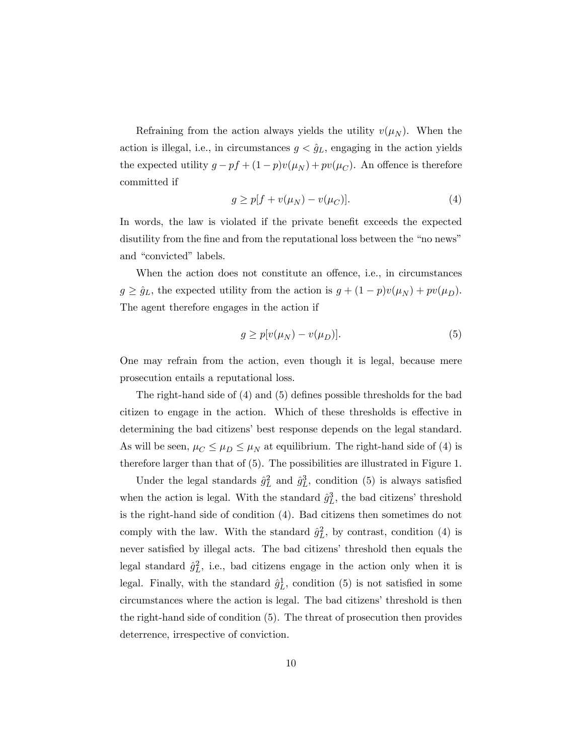Refraining from the action always yields the utility  $v(\mu_N)$ . When the action is illegal, i.e., in circumstances  $g < \hat{g}_L$ , engaging in the action yields the expected utility  $g - pf + (1 - p)v(\mu_N) + pv(\mu_C)$ . An offence is therefore committed if

$$
g \ge p[f + v(\mu_N) - v(\mu_C)].\tag{4}
$$

In words, the law is violated if the private benefit exceeds the expected disutility from the fine and from the reputational loss between the "no news" and "convicted" labels.

When the action does not constitute an offence, i.e., in circumstances  $g \ge \hat{g}_L$ , the expected utility from the action is  $g + (1 - p)v(\mu_N) + pv(\mu_D)$ . The agent therefore engages in the action if

$$
g \ge p[v(\mu_N) - v(\mu_D)].\tag{5}
$$

One may refrain from the action, even though it is legal, because mere prosecution entails a reputational loss.

The right-hand side of  $(4)$  and  $(5)$  defines possible thresholds for the bad citizen to engage in the action. Which of these thresholds is effective in determining the bad citizens' best response depends on the legal standard. As will be seen,  $\mu_C \leq \mu_D \leq \mu_N$  at equilibrium. The right-hand side of (4) is therefore larger than that of (5). The possibilities are illustrated in Figure 1.

Under the legal standards  $\hat{g}_L^2$  and  $\hat{g}_L^3$ , condition (5) is always satisfied when the action is legal. With the standard  $\hat{g}_L^3$ , the bad citizens' threshold is the right-hand side of condition (4). Bad citizens then sometimes do not comply with the law. With the standard  $\hat{g}_L^2$ , by contrast, condition (4) is never satisfied by illegal acts. The bad citizens' threshold then equals the legal standard  $\hat{g}_L^2$ , i.e., bad citizens engage in the action only when it is legal. Finally, with the standard  $\hat{g}_L^1$ , condition (5) is not satisfied in some circumstances where the action is legal. The bad citizens' threshold is then the right-hand side of condition (5). The threat of prosecution then provides deterrence, irrespective of conviction.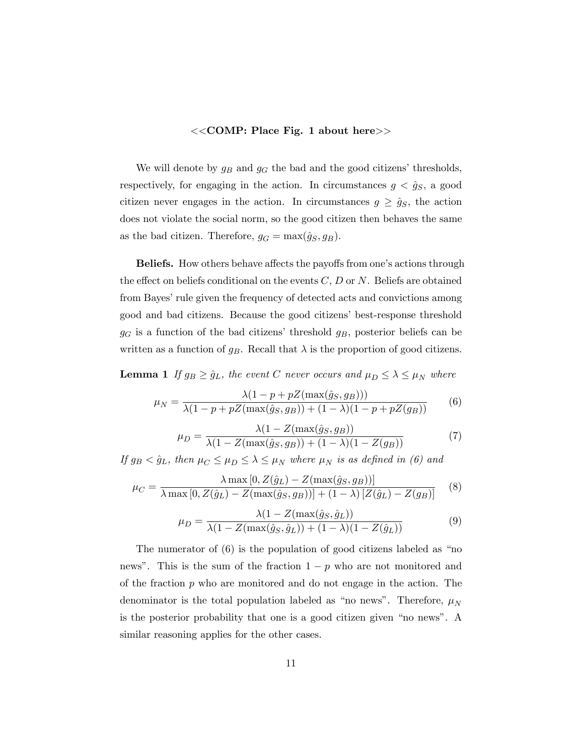### <<COMP: Place Fig. 1 about here>>

We will denote by  $g_B$  and  $g_G$  the bad and the good citizens' thresholds, respectively, for engaging in the action. In circumstances  $g < \hat{g}_S$ , a good citizen never engages in the action. In circumstances  $g \ge \hat{g}_S$ , the action does not violate the social norm, so the good citizen then behaves the same as the bad citizen. Therefore,  $g_G = \max(\hat{g}_S, g_B)$ .

Beliefs. How others behave affects the payoffs from one's actions through the effect on beliefs conditional on the events  $C, D$  or N. Beliefs are obtained from Bayes' rule given the frequency of detected acts and convictions among good and bad citizens. Because the good citizens' best-response threshold  $g<sub>G</sub>$  is a function of the bad citizens' threshold  $g<sub>B</sub>$ , posterior beliefs can be written as a function of  $g_B$ . Recall that  $\lambda$  is the proportion of good citizens.

**Lemma 1** If  $g_B \ge \hat{g}_L$ , the event C never occurs and  $\mu_D \le \lambda \le \mu_N$  where

$$
\mu_N = \frac{\lambda (1 - p + pZ(\max(\hat{g}_S, g_B)))}{\lambda (1 - p + pZ(\max(\hat{g}_S, g_B)) + (1 - \lambda)(1 - p + pZ(g_B))}
$$
(6)

$$
\mu_D = \frac{\lambda (1 - Z(\max(\hat{g}_S, g_B))}{\lambda (1 - Z(\max(\hat{g}_S, g_B)) + (1 - \lambda)(1 - Z(g_B))}
$$
(7)

If  $g_B < \hat{g}_L$ , then  $\mu_C \leq \mu_D \leq \lambda \leq \mu_N$  where  $\mu_N$  is as defined in (6) and

$$
\mu_C = \frac{\lambda \max\left[0, Z(\hat{g}_L) - Z(\max(\hat{g}_S, g_B))\right]}{\lambda \max\left[0, Z(\hat{g}_L) - Z(\max(\hat{g}_S, g_B))\right] + (1 - \lambda) \left[Z(\hat{g}_L) - Z(g_B)\right]} \tag{8}
$$

$$
\mu_D = \frac{\lambda (1 - Z(\max(\hat{g}_S, \hat{g}_L))}{\lambda (1 - Z(\max(\hat{g}_S, \hat{g}_L)) + (1 - \lambda)(1 - Z(\hat{g}_L))}
$$
(9)

The numerator of  $(6)$  is the population of good citizens labeled as "no news". This is the sum of the fraction  $1 - p$  who are not monitored and of the fraction  $p$  who are monitored and do not engage in the action. The denominator is the total population labeled as "no news". Therefore,  $\mu_N$ is the posterior probability that one is a good citizen given "no news". A similar reasoning applies for the other cases.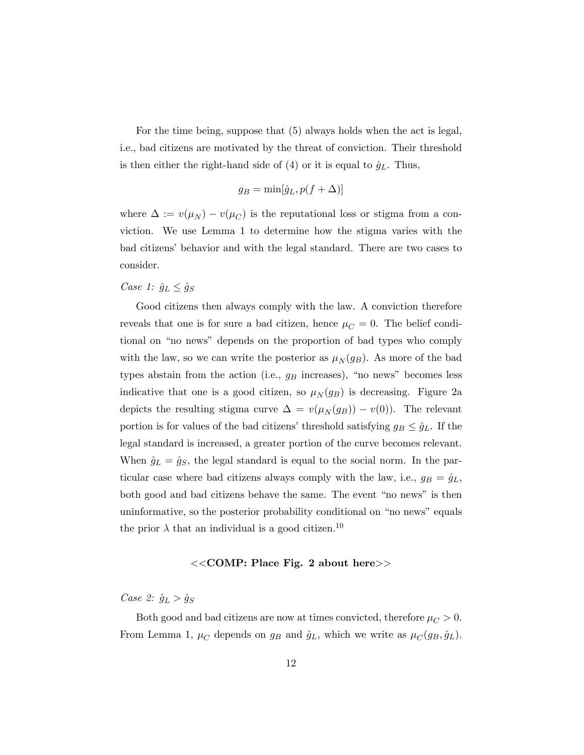For the time being, suppose that (5) always holds when the act is legal, i.e., bad citizens are motivated by the threat of conviction. Their threshold is then either the right-hand side of (4) or it is equal to  $\hat{g}_L$ . Thus,

$$
g_B = \min[\hat{g}_L, p(f + \Delta)]
$$

where  $\Delta := v(\mu_N) - v(\mu_C)$  is the reputational loss or stigma from a conviction. We use Lemma 1 to determine how the stigma varies with the bad citizens' behavior and with the legal standard. There are two cases to consider.

### Case 1:  $\hat{g}_L \leq \hat{g}_S$

Good citizens then always comply with the law. A conviction therefore reveals that one is for sure a bad citizen, hence  $\mu_C = 0$ . The belief conditional on "no news" depends on the proportion of bad types who comply with the law, so we can write the posterior as  $\mu_N(g_B)$ . As more of the bad types abstain from the action (i.e.,  $g_B$  increases), "no news" becomes less indicative that one is a good citizen, so  $\mu_N(g_B)$  is decreasing. Figure 2a depicts the resulting stigma curve  $\Delta = v(\mu_N(g_B)) - v(0)$ . The relevant portion is for values of the bad citizens' threshold satisfying  $g_B \leq \hat{g}_L$ . If the legal standard is increased, a greater portion of the curve becomes relevant. When  $\hat{g}_L = \hat{g}_S$ , the legal standard is equal to the social norm. In the particular case where bad citizens always comply with the law, i.e.,  $g_B = \hat{g}_L$ , both good and bad citizens behave the same. The event "no news" is then uninformative, so the posterior probability conditional on "no news" equals the prior  $\lambda$  that an individual is a good citizen.<sup>10</sup>

#### <<COMP: Place Fig. 2 about here>>

Case 2:  $\hat{g}_L > \hat{g}_S$ 

Both good and bad citizens are now at times convicted, therefore  $\mu_C > 0$ . From Lemma 1,  $\mu_C$  depends on  $g_B$  and  $\hat{g}_L$ , which we write as  $\mu_C(g_B,\hat{g}_L)$ .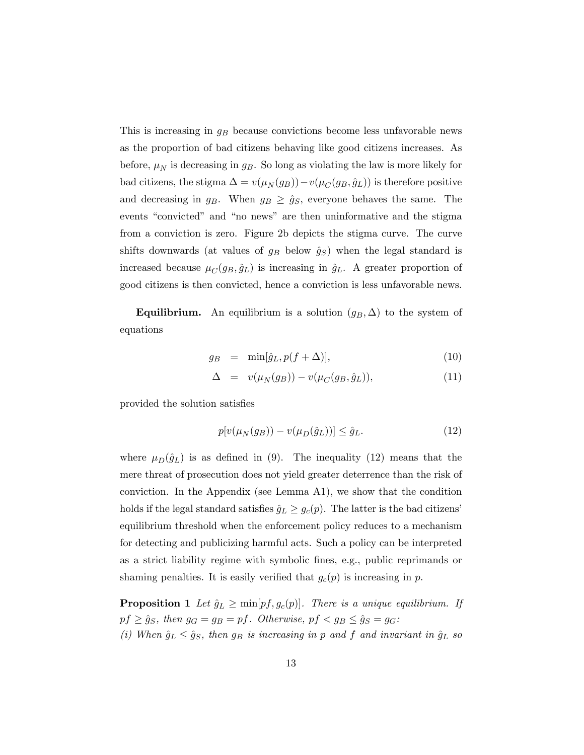This is increasing in  $g_B$  because convictions become less unfavorable news as the proportion of bad citizens behaving like good citizens increases. As before,  $\mu_N$  is decreasing in  $g_B$ . So long as violating the law is more likely for bad citizens, the stigma  $\Delta = v(\mu_N(g_B)) - v(\mu_C(g_B, \hat{g}_L))$  is therefore positive and decreasing in  $g_B$ . When  $g_B \ge \hat{g}_S$ , everyone behaves the same. The events "convicted" and "no news" are then uninformative and the stigma from a conviction is zero. Figure 2b depicts the stigma curve. The curve shifts downwards (at values of  $g_B$  below  $\hat{g}_S$ ) when the legal standard is increased because  $\mu_C(g_B, \hat{g}_L)$  is increasing in  $\hat{g}_L$ . A greater proportion of good citizens is then convicted, hence a conviction is less unfavorable news.

**Equilibrium.** An equilibrium is a solution  $(g_B, \Delta)$  to the system of equations

$$
g_B = \min[\hat{g}_L, p(f + \Delta)], \qquad (10)
$$

$$
\Delta = v(\mu_N(g_B)) - v(\mu_C(g_B, \hat{g}_L)), \qquad (11)
$$

provided the solution satisfies

$$
p[v(\mu_N(g_B)) - v(\mu_D(\hat{g}_L))] \le \hat{g}_L. \tag{12}
$$

where  $\mu_D(\hat{g}_L)$  is as defined in (9). The inequality (12) means that the mere threat of prosecution does not yield greater deterrence than the risk of conviction. In the Appendix (see Lemma A1), we show that the condition holds if the legal standard satisfies  $\hat{g}_L \geq g_c(p)$ . The latter is the bad citizens' equilibrium threshold when the enforcement policy reduces to a mechanism for detecting and publicizing harmful acts. Such a policy can be interpreted as a strict liability regime with symbolic Önes, e.g., public reprimands or shaming penalties. It is easily verified that  $g_c(p)$  is increasing in p.

**Proposition 1** Let  $\hat{g}_L \ge \min[pf, g_c(p)]$ . There is a unique equilibrium. If  $pf \geq \hat{g}_S$ , then  $g_G = g_B = pf$ . Otherwise,  $pf < g_B \leq \hat{g}_S = g_G$ : (i) When  $\hat{g}_L \leq \hat{g}_S$ , then  $g_B$  is increasing in p and f and invariant in  $\hat{g}_L$  so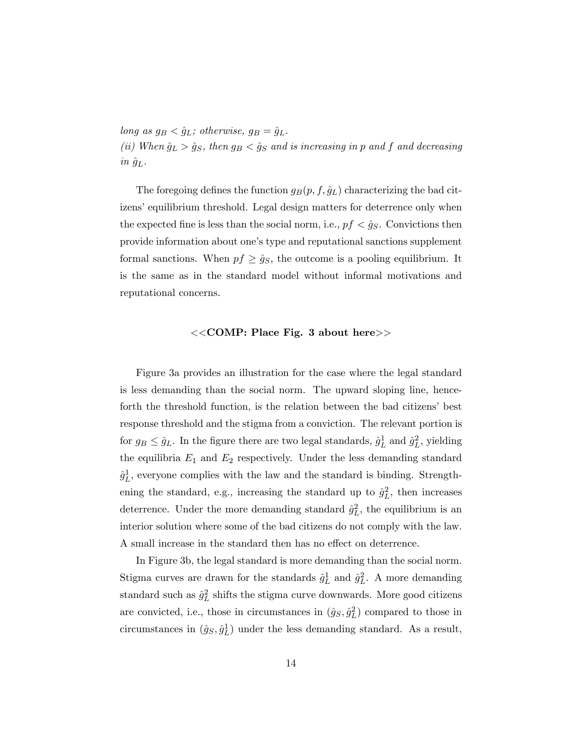long as  $g_B < \hat{g}_L$ ; otherwise,  $g_B = \hat{g}_L$ . (ii) When  $\hat{g}_L > \hat{g}_S$ , then  $g_B < \hat{g}_S$  and is increasing in p and f and decreasing  $in \hat{g}_L$ .

The foregoing defines the function  $g_B(p, f, \hat{g}_L)$  characterizing the bad citizens' equilibrium threshold. Legal design matters for deterrence only when the expected fine is less than the social norm, i.e.,  $pf < \hat{g}_S$ . Convictions then provide information about oneís type and reputational sanctions supplement formal sanctions. When  $pf \geq \hat{g}_S$ , the outcome is a pooling equilibrium. It is the same as in the standard model without informal motivations and reputational concerns.

### $<<$ COMP: Place Fig. 3 about here $>>$

Figure 3a provides an illustration for the case where the legal standard is less demanding than the social norm. The upward sloping line, henceforth the threshold function, is the relation between the bad citizens' best response threshold and the stigma from a conviction. The relevant portion is for  $g_B \le \hat{g}_L$ . In the figure there are two legal standards,  $\hat{g}_L^1$  and  $\hat{g}_L^2$ , yielding the equilibria  $E_1$  and  $E_2$  respectively. Under the less demanding standard  $\hat{g}_L^1$ , everyone complies with the law and the standard is binding. Strengthening the standard, e.g., increasing the standard up to  $\hat{g}_L^2$ , then increases deterrence. Under the more demanding standard  $\hat{g}_L^2$ , the equilibrium is an interior solution where some of the bad citizens do not comply with the law. A small increase in the standard then has no effect on deterrence.

In Figure 3b, the legal standard is more demanding than the social norm. Stigma curves are drawn for the standards  $\hat{g}_L^1$  and  $\hat{g}_L^2$ . A more demanding standard such as  $\hat{g}_L^2$  shifts the stigma curve downwards. More good citizens are convicted, i.e., those in circumstances in  $(\hat{g}_S, \hat{g}_L^2)$  compared to those in circumstances in  $(\hat{g}_S, \hat{g}^1_L)$  under the less demanding standard. As a result,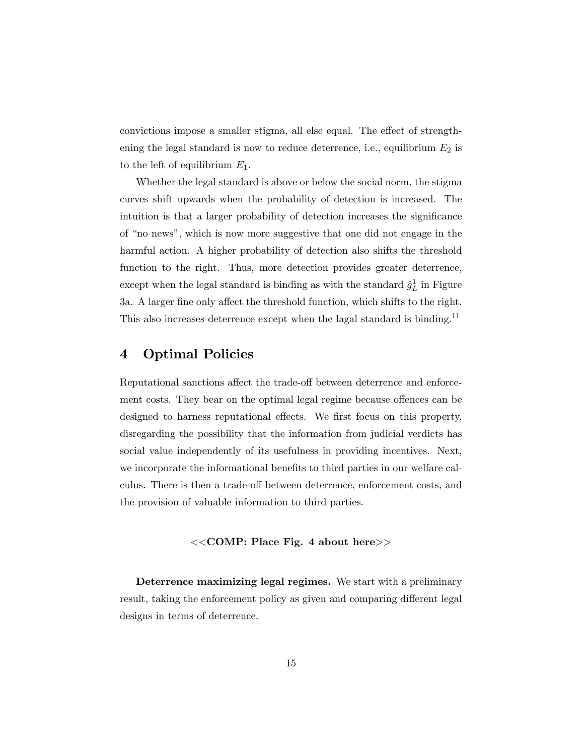convictions impose a smaller stigma, all else equal. The effect of strengthening the legal standard is now to reduce deterrence, i.e., equilibrium  $E_2$  is to the left of equilibrium  $E_1$ .

Whether the legal standard is above or below the social norm, the stigma curves shift upwards when the probability of detection is increased. The intuition is that a larger probability of detection increases the significance of "no news", which is now more suggestive that one did not engage in the harmful action. A higher probability of detection also shifts the threshold function to the right. Thus, more detection provides greater deterrence, except when the legal standard is binding as with the standard  $\hat{g}_L^1$  in Figure 3a. A larger fine only affect the threshold function, which shifts to the right. This also increases deterrence except when the lagal standard is binding.<sup>11</sup>

# 4 Optimal Policies

Reputational sanctions affect the trade-off between deterrence and enforcement costs. They bear on the optimal legal regime because offences can be designed to harness reputational effects. We first focus on this property, disregarding the possibility that the information from judicial verdicts has social value independently of its usefulness in providing incentives. Next, we incorporate the informational benefits to third parties in our welfare calculus. There is then a trade-off between deterrence, enforcement costs, and the provision of valuable information to third parties.

## <<COMP: Place Fig. 4 about here>>

Deterrence maximizing legal regimes. We start with a preliminary result, taking the enforcement policy as given and comparing different legal designs in terms of deterrence.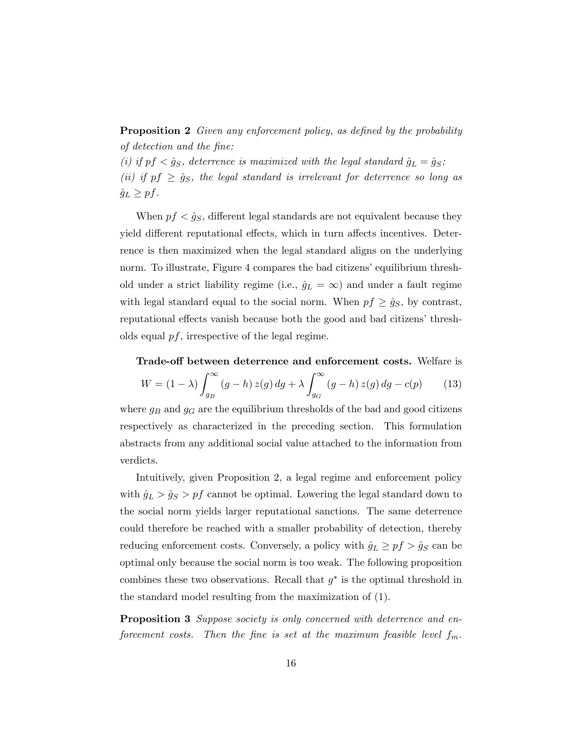**Proposition 2** Given any enforcement policy, as defined by the probability of detection and the fine:

(i) if  $pf < \hat{g}_S$ , deterrence is maximized with the legal standard  $\hat{g}_L = \hat{g}_S$ ; (ii) if  $pf \geq \hat{g}_S$ , the legal standard is irrelevant for deterrence so long as  $\hat{g}_L \geq pf$ .

When  $pf < \hat{g}_S$ , different legal standards are not equivalent because they yield different reputational effects, which in turn affects incentives. Deterrence is then maximized when the legal standard aligns on the underlying norm. To illustrate, Figure 4 compares the bad citizens' equilibrium threshold under a strict liability regime (i.e.,  $\hat{g}_L = \infty$ ) and under a fault regime with legal standard equal to the social norm. When  $pf \geq \hat{g}_S$ , by contrast, reputational effects vanish because both the good and bad citizens' thresholds equal  $pf$ , irrespective of the legal regime.

Trade-off between deterrence and enforcement costs. Welfare is

$$
W = (1 - \lambda) \int_{g_B}^{\infty} (g - h) z(g) dg + \lambda \int_{g_G}^{\infty} (g - h) z(g) dg - c(p) \tag{13}
$$

where  $g_B$  and  $g_G$  are the equilibrium thresholds of the bad and good citizens respectively as characterized in the preceding section. This formulation abstracts from any additional social value attached to the information from verdicts.

Intuitively, given Proposition 2, a legal regime and enforcement policy with  $\hat{g}_L > \hat{g}_S > pf$  cannot be optimal. Lowering the legal standard down to the social norm yields larger reputational sanctions. The same deterrence could therefore be reached with a smaller probability of detection, thereby reducing enforcement costs. Conversely, a policy with  $\hat{g}_L \geq pf > \hat{g}_S$  can be optimal only because the social norm is too weak. The following proposition combines these two observations. Recall that  $g^*$  is the optimal threshold in the standard model resulting from the maximization of (1).

**Proposition 3** Suppose society is only concerned with deterrence and enforcement costs. Then the fine is set at the maximum feasible level  $f_m$ .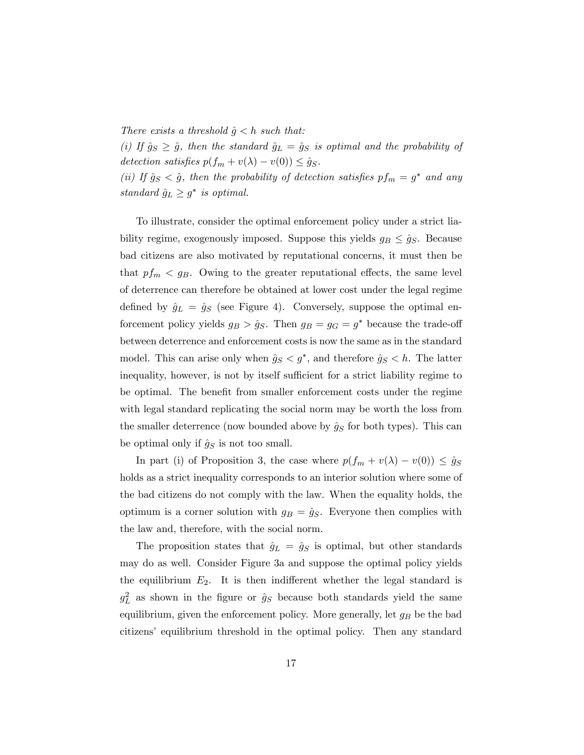There exists a threshold  $\hat{g} < h$  such that:

(i) If  $\hat{g}_S \geq \hat{g}$ , then the standard  $\hat{g}_L = \hat{g}_S$  is optimal and the probability of detection satisfies  $p(f_m + v(\lambda) - v(0)) \leq \hat{g}_S$ .

(ii) If  $\hat{g}_S < \hat{g}$ , then the probability of detection satisfies  $pf_m = g^*$  and any standard  $\hat{g}_L \geq g^*$  is optimal.

To illustrate, consider the optimal enforcement policy under a strict liability regime, exogenously imposed. Suppose this yields  $g_B \leq \hat{g}_S$ . Because bad citizens are also motivated by reputational concerns, it must then be that  $pf_m < g_B$ . Owing to the greater reputational effects, the same level of deterrence can therefore be obtained at lower cost under the legal regime defined by  $\hat{g}_L = \hat{g}_S$  (see Figure 4). Conversely, suppose the optimal enforcement policy yields  $g_B > \hat{g}_S$ . Then  $g_B = g_G = g^*$  because the trade-off between deterrence and enforcement costs is now the same as in the standard model. This can arise only when  $\hat{g}_S < g^*$ , and therefore  $\hat{g}_S < h$ . The latter inequality, however, is not by itself sufficient for a strict liability regime to be optimal. The benefit from smaller enforcement costs under the regime with legal standard replicating the social norm may be worth the loss from the smaller deterrence (now bounded above by  $\hat{g}_S$  for both types). This can be optimal only if  $\hat{g}_S$  is not too small.

In part (i) of Proposition 3, the case where  $p(f_m + v(\lambda) - v(0)) \leq \hat{g}_S$ holds as a strict inequality corresponds to an interior solution where some of the bad citizens do not comply with the law. When the equality holds, the optimum is a corner solution with  $g_B = \hat{g}_S$ . Everyone then complies with the law and, therefore, with the social norm.

The proposition states that  $\hat{g}_L = \hat{g}_S$  is optimal, but other standards may do as well. Consider Figure 3a and suppose the optimal policy yields the equilibrium  $E_2$ . It is then indifferent whether the legal standard is  $g_L^2$  as shown in the figure or  $\hat{g}_S$  because both standards yield the same equilibrium, given the enforcement policy. More generally, let  $g_B$  be the bad citizensí equilibrium threshold in the optimal policy. Then any standard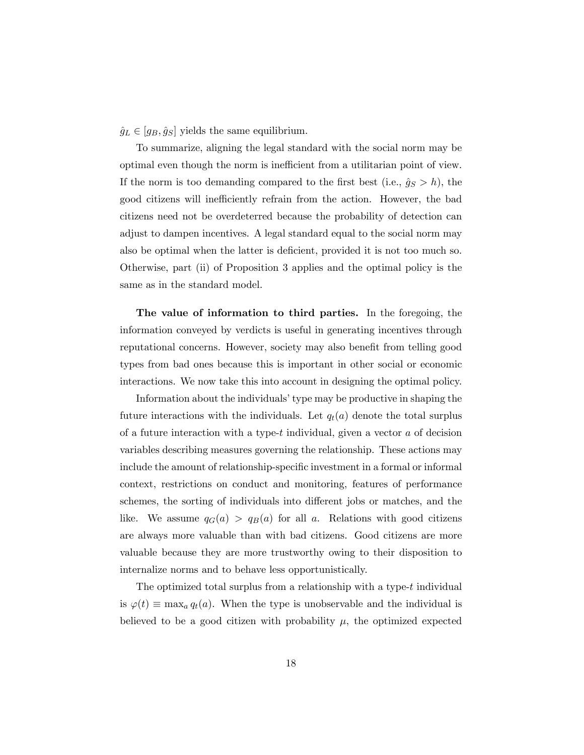$\hat{g}_L \in [g_B, \hat{g}_S]$  yields the same equilibrium.

To summarize, aligning the legal standard with the social norm may be optimal even though the norm is inefficient from a utilitarian point of view. If the norm is too demanding compared to the first best (i.e.,  $\hat{g}_S > h$ ), the good citizens will inefficiently refrain from the action. However, the bad citizens need not be overdeterred because the probability of detection can adjust to dampen incentives. A legal standard equal to the social norm may also be optimal when the latter is deficient, provided it is not too much so. Otherwise, part (ii) of Proposition 3 applies and the optimal policy is the same as in the standard model.

The value of information to third parties. In the foregoing, the information conveyed by verdicts is useful in generating incentives through reputational concerns. However, society may also benefit from telling good types from bad ones because this is important in other social or economic interactions. We now take this into account in designing the optimal policy.

Information about the individuals' type may be productive in shaping the future interactions with the individuals. Let  $q_t(a)$  denote the total surplus of a future interaction with a type-t individual, given a vector  $a$  of decision variables describing measures governing the relationship. These actions may include the amount of relationship-specific investment in a formal or informal context, restrictions on conduct and monitoring, features of performance schemes, the sorting of individuals into different jobs or matches, and the like. We assume  $q_G(a) > q_B(a)$  for all a. Relations with good citizens are always more valuable than with bad citizens. Good citizens are more valuable because they are more trustworthy owing to their disposition to internalize norms and to behave less opportunistically.

The optimized total surplus from a relationship with a type- $t$  individual is  $\varphi(t) \equiv \max_a q_t(a)$ . When the type is unobservable and the individual is believed to be a good citizen with probability  $\mu$ , the optimized expected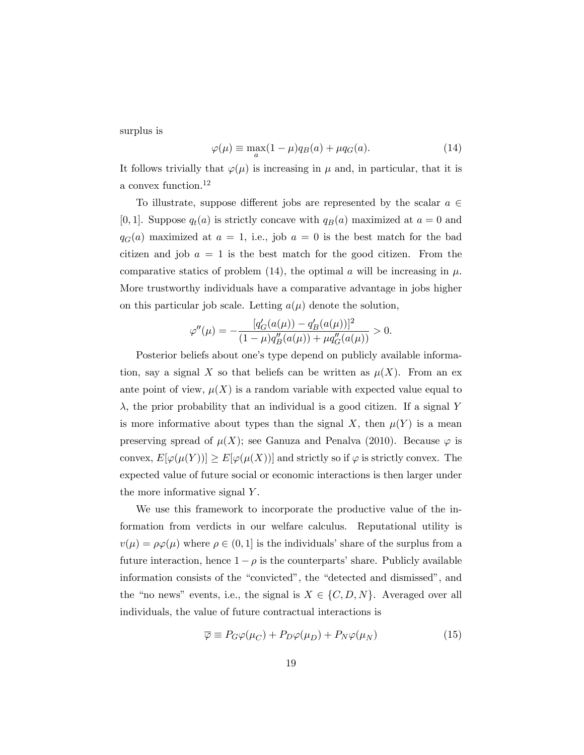surplus is

$$
\varphi(\mu) \equiv \max_{a} (1 - \mu) q_B(a) + \mu q_G(a). \tag{14}
$$

It follows trivially that  $\varphi(\mu)$  is increasing in  $\mu$  and, in particular, that it is a convex function.<sup>12</sup>

To illustrate, suppose different jobs are represented by the scalar  $a \in$  $[0, 1]$ . Suppose  $q_t(a)$  is strictly concave with  $q_B(a)$  maximized at  $a = 0$  and  $q_G(a)$  maximized at  $a = 1$ , i.e., job  $a = 0$  is the best match for the bad citizen and job  $a = 1$  is the best match for the good citizen. From the comparative statics of problem (14), the optimal a will be increasing in  $\mu$ . More trustworthy individuals have a comparative advantage in jobs higher on this particular job scale. Letting  $a(\mu)$  denote the solution,

$$
\varphi''(\mu) = -\frac{[q'_G(a(\mu)) - q'_B(a(\mu))]^2}{(1 - \mu)q''_B(a(\mu)) + \mu q''_G(a(\mu))} > 0.
$$

Posterior beliefs about one's type depend on publicly available information, say a signal X so that beliefs can be written as  $\mu(X)$ . From an ex ante point of view,  $\mu(X)$  is a random variable with expected value equal to  $\lambda$ , the prior probability that an individual is a good citizen. If a signal Y is more informative about types than the signal X, then  $\mu(Y)$  is a mean preserving spread of  $\mu(X)$ ; see Ganuza and Penalva (2010). Because  $\varphi$  is convex,  $E[\varphi(\mu(Y))] \geq E[\varphi(\mu(X))]$  and strictly so if  $\varphi$  is strictly convex. The expected value of future social or economic interactions is then larger under the more informative signal Y .

We use this framework to incorporate the productive value of the information from verdicts in our welfare calculus. Reputational utility is  $v(\mu) = \rho \varphi(\mu)$  where  $\rho \in (0, 1]$  is the individuals' share of the surplus from a future interaction, hence  $1 - \rho$  is the counterparts' share. Publicly available information consists of the "convicted", the "detected and dismissed", and the "no news" events, i.e., the signal is  $X \in \{C, D, N\}$ . Averaged over all individuals, the value of future contractual interactions is

$$
\overline{\varphi} \equiv P_G \varphi(\mu_C) + P_D \varphi(\mu_D) + P_N \varphi(\mu_N) \tag{15}
$$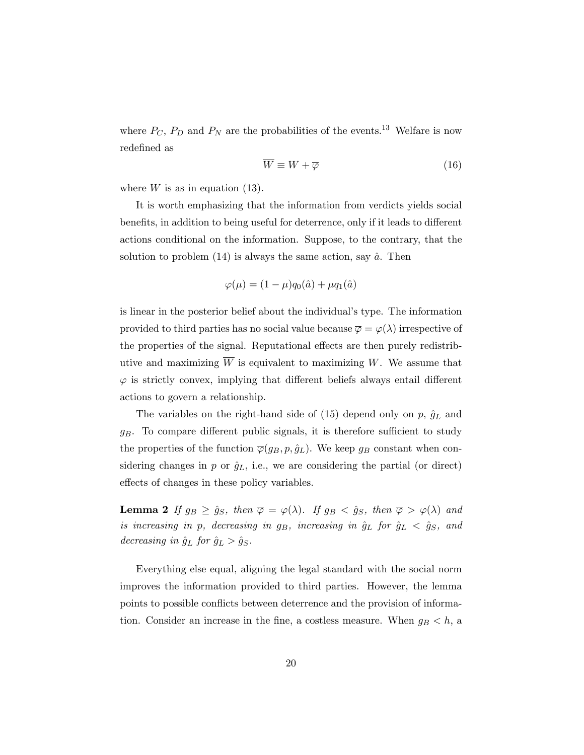where  $P_C$ ,  $P_D$  and  $P_N$  are the probabilities of the events.<sup>13</sup> Welfare is now redefined as

$$
\overline{W} \equiv W + \overline{\varphi} \tag{16}
$$

where  $W$  is as in equation (13).

It is worth emphasizing that the information from verdicts yields social benefits, in addition to being useful for deterrence, only if it leads to different actions conditional on the information. Suppose, to the contrary, that the solution to problem  $(14)$  is always the same action, say  $\hat{a}$ . Then

$$
\varphi(\mu) = (1 - \mu)q_0(\hat{a}) + \mu q_1(\hat{a})
$$

is linear in the posterior belief about the individual's type. The information provided to third parties has no social value because  $\overline{\varphi} = \varphi(\lambda)$  irrespective of the properties of the signal. Reputational effects are then purely redistributive and maximizing  $\overline{W}$  is equivalent to maximizing W. We assume that  $\varphi$  is strictly convex, implying that different beliefs always entail different actions to govern a relationship.

The variables on the right-hand side of (15) depend only on  $p$ ,  $\hat{g}_L$  and  $g_B$ . To compare different public signals, it is therefore sufficient to study the properties of the function  $\overline{\varphi}(g_B, p, \hat{g}_L)$ . We keep  $g_B$  constant when considering changes in p or  $\hat{g}_L$ , i.e., we are considering the partial (or direct) effects of changes in these policy variables.

**Lemma 2** If  $g_B \ge \hat{g}_S$ , then  $\overline{\varphi} = \varphi(\lambda)$ . If  $g_B < \hat{g}_S$ , then  $\overline{\varphi} > \varphi(\lambda)$  and is increasing in p, decreasing in  $g_B$ , increasing in  $\hat{g}_L$  for  $\hat{g}_L < \hat{g}_S$ , and decreasing in  $\hat{g}_L$  for  $\hat{g}_L > \hat{g}_S$ .

Everything else equal, aligning the legal standard with the social norm improves the information provided to third parties. However, the lemma points to possible conflicts between deterrence and the provision of information. Consider an increase in the fine, a costless measure. When  $g_B < h$ , a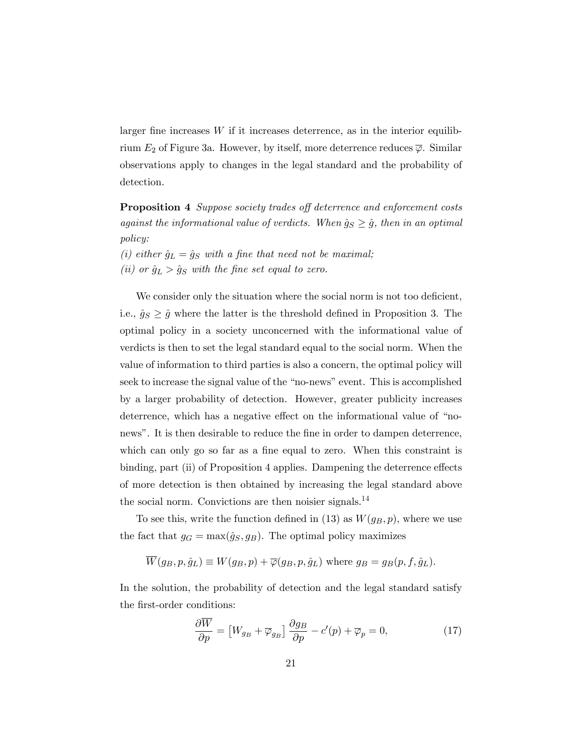larger fine increases  $W$  if it increases deterrence, as in the interior equilibrium  $E_2$  of Figure 3a. However, by itself, more deterrence reduces  $\overline{\varphi}$ . Similar observations apply to changes in the legal standard and the probability of detection.

Proposition 4 Suppose society trades off deterrence and enforcement costs against the informational value of verdicts. When  $\hat{g}_S \geq \hat{g}$ , then in an optimal policy:

(i) either  $\hat{g}_L = \hat{g}_S$  with a fine that need not be maximal; (ii) or  $\hat{g}_L > \hat{g}_S$  with the fine set equal to zero.

We consider only the situation where the social norm is not too deficient, i.e.,  $\hat{g}_S \geq \hat{g}$  where the latter is the threshold defined in Proposition 3. The optimal policy in a society unconcerned with the informational value of verdicts is then to set the legal standard equal to the social norm. When the value of information to third parties is also a concern, the optimal policy will seek to increase the signal value of the "no-news" event. This is accomplished by a larger probability of detection. However, greater publicity increases deterrence, which has a negative effect on the informational value of "nonews". It is then desirable to reduce the fine in order to dampen deterrence, which can only go so far as a fine equal to zero. When this constraint is binding, part (ii) of Proposition 4 applies. Dampening the deterrence effects of more detection is then obtained by increasing the legal standard above the social norm. Convictions are then noisier signals. $^{14}$ 

To see this, write the function defined in (13) as  $W(g_B, p)$ , where we use the fact that  $g_G = \max(\hat{g}_S, g_B)$ . The optimal policy maximizes

$$
W(g_B, p, \hat{g}_L) \equiv W(g_B, p) + \overline{\varphi}(g_B, p, \hat{g}_L)
$$
 where  $g_B = g_B(p, f, \hat{g}_L)$ .

In the solution, the probability of detection and the legal standard satisfy the first-order conditions:

$$
\frac{\partial \overline{W}}{\partial p} = \left[W_{g_B} + \overline{\varphi}_{g_B}\right] \frac{\partial g_B}{\partial p} - c'(p) + \overline{\varphi}_p = 0,\tag{17}
$$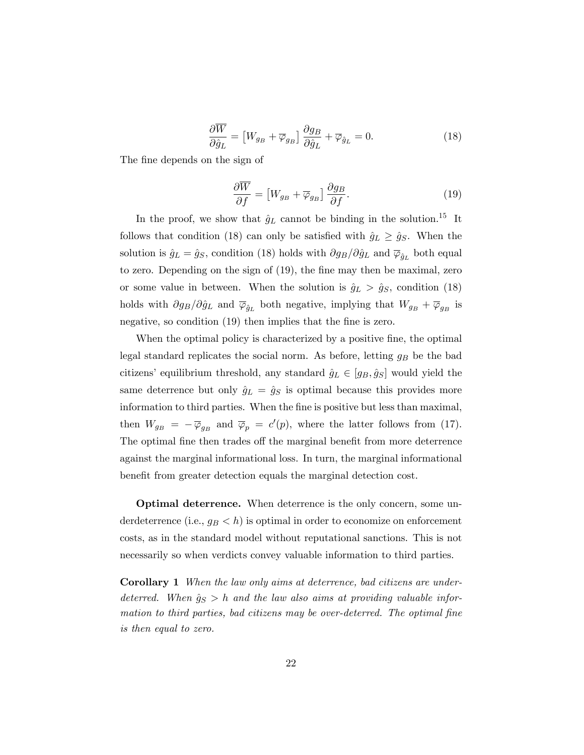$$
\frac{\partial \overline{W}}{\partial \hat{g}_L} = \left[W_{g_B} + \overline{\varphi}_{g_B}\right] \frac{\partial g_B}{\partial \hat{g}_L} + \overline{\varphi}_{\hat{g}_L} = 0. \tag{18}
$$

The fine depends on the sign of

$$
\frac{\partial \overline{W}}{\partial f} = \left[W_{g_B} + \overline{\varphi}_{g_B}\right] \frac{\partial g_B}{\partial f}.\tag{19}
$$

In the proof, we show that  $\hat{g}_L$  cannot be binding in the solution.<sup>15</sup> It follows that condition (18) can only be satisfied with  $\hat{g}_L \geq \hat{g}_S$ . When the solution is  $\hat{g}_L = \hat{g}_S$ , condition (18) holds with  $\partial g_B/\partial \hat{g}_L$  and  $\overline{\varphi}_{\hat{g}_L}$  both equal to zero. Depending on the sign of (19), the fine may then be maximal, zero or some value in between. When the solution is  $\hat{g}_L > \hat{g}_S$ , condition (18) holds with  $\partial g_B/\partial \hat{g}_L$  and  $\overline{\varphi}_{\hat{g}_L}$  both negative, implying that  $W_{g_B} + \overline{\varphi}_{g_B}$  is negative, so condition (19) then implies that the fine is zero.

When the optimal policy is characterized by a positive fine, the optimal legal standard replicates the social norm. As before, letting  $g_B$  be the bad citizens' equilibrium threshold, any standard  $\hat{g}_L \in [g_B, \hat{g}_S]$  would yield the same deterrence but only  $\hat{g}_L = \hat{g}_S$  is optimal because this provides more information to third parties. When the fine is positive but less than maximal, then  $W_{g_B} = -\overline{\varphi}_{g_B}$  and  $\overline{\varphi}_p = c'(p)$ , where the latter follows from (17). The optimal fine then trades off the marginal benefit from more deterrence against the marginal informational loss. In turn, the marginal informational benefit from greater detection equals the marginal detection cost.

Optimal deterrence. When deterrence is the only concern, some underdeterrence (i.e.,  $g_B < h$ ) is optimal in order to economize on enforcement costs, as in the standard model without reputational sanctions. This is not necessarily so when verdicts convey valuable information to third parties.

Corollary 1 When the law only aims at deterrence, bad citizens are underdeterred. When  $\hat{g}_S > h$  and the law also aims at providing valuable information to third parties, bad citizens may be over-deterred. The optimal fine is then equal to zero.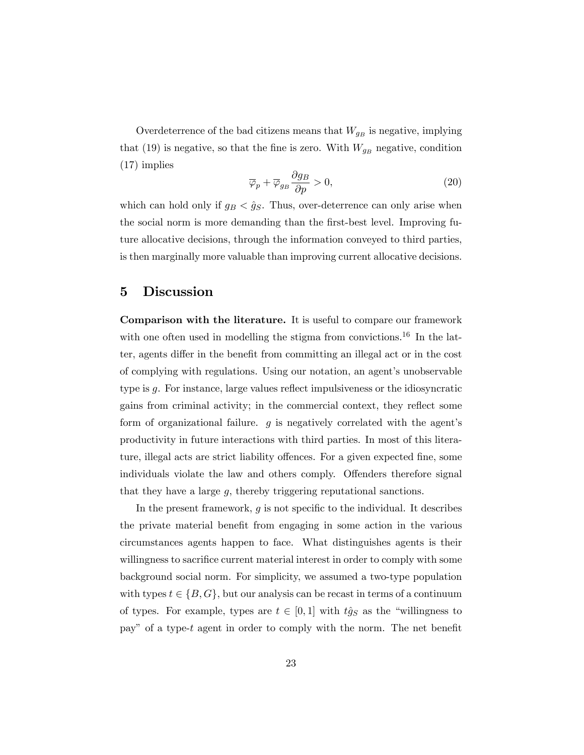Overdeterrence of the bad citizens means that  $W_{g_B}$  is negative, implying that (19) is negative, so that the fine is zero. With  $W_{g_B}$  negative, condition (17) implies

$$
\overline{\varphi}_p + \overline{\varphi}_{g_B} \frac{\partial g_B}{\partial p} > 0, \tag{20}
$$

which can hold only if  $g_B < \hat{g}_S$ . Thus, over-deterrence can only arise when the social norm is more demanding than the first-best level. Improving future allocative decisions, through the information conveyed to third parties, is then marginally more valuable than improving current allocative decisions.

## 5 Discussion

Comparison with the literature. It is useful to compare our framework with one often used in modelling the stigma from convictions.<sup>16</sup> In the latter, agents differ in the benefit from committing an illegal act or in the cost of complying with regulations. Using our notation, an agent's unobservable type is g. For instance, large values reflect impulsiveness or the idiosyncratic gains from criminal activity; in the commercial context, they reflect some form of organizational failure.  $g$  is negatively correlated with the agent's productivity in future interactions with third parties. In most of this literature, illegal acts are strict liability offences. For a given expected fine, some individuals violate the law and others comply. Offenders therefore signal that they have a large  $g$ , thereby triggering reputational sanctions.

In the present framework,  $g$  is not specific to the individual. It describes the private material benefit from engaging in some action in the various circumstances agents happen to face. What distinguishes agents is their willingness to sacrifice current material interest in order to comply with some background social norm. For simplicity, we assumed a two-type population with types  $t \in \{B, G\}$ , but our analysis can be recast in terms of a continuum of types. For example, types are  $t \in [0, 1]$  with  $t\hat{g}_S$  as the "willingness to pay" of a type-t agent in order to comply with the norm. The net benefit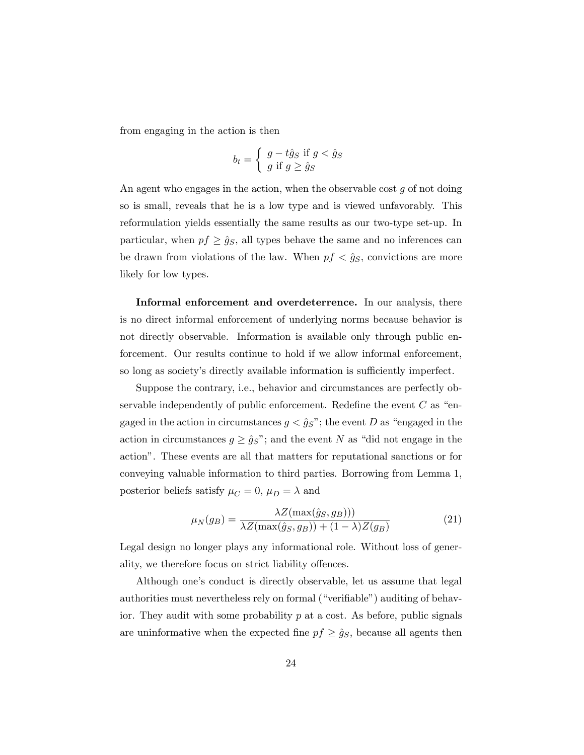from engaging in the action is then

$$
b_t = \begin{cases} g - t\hat{g}_S \text{ if } g < \hat{g}_S\\ g \text{ if } g \ge \hat{g}_S \end{cases}
$$

An agent who engages in the action, when the observable cost  $g$  of not doing so is small, reveals that he is a low type and is viewed unfavorably. This reformulation yields essentially the same results as our two-type set-up. In particular, when  $pf \geq \hat{g}_S$ , all types behave the same and no inferences can be drawn from violations of the law. When  $pf < \hat{g}_S$ , convictions are more likely for low types.

Informal enforcement and overdeterrence. In our analysis, there is no direct informal enforcement of underlying norms because behavior is not directly observable. Information is available only through public enforcement. Our results continue to hold if we allow informal enforcement, so long as society's directly available information is sufficiently imperfect.

Suppose the contrary, i.e., behavior and circumstances are perfectly observable independently of public enforcement. Redefine the event  $C$  as "engaged in the action in circumstances  $g < \hat{g}_S$ ; the event D as "engaged in the action in circumstances  $g \ge \hat{g}_S$ "; and the event N as "did not engage in the actionî. These events are all that matters for reputational sanctions or for conveying valuable information to third parties. Borrowing from Lemma 1, posterior beliefs satisfy  $\mu_C = 0,\, \mu_D = \lambda$  and

$$
\mu_N(g_B) = \frac{\lambda Z(\max(\hat{g}_S, g_B)))}{\lambda Z(\max(\hat{g}_S, g_B)) + (1 - \lambda)Z(g_B)}
$$
(21)

Legal design no longer plays any informational role. Without loss of generality, we therefore focus on strict liability offences.

Although one's conduct is directly observable, let us assume that legal authorities must nevertheless rely on formal ("verifiable") auditing of behavior. They audit with some probability  $p$  at a cost. As before, public signals are uninformative when the expected fine  $pf \geq \hat{g}_S$ , because all agents then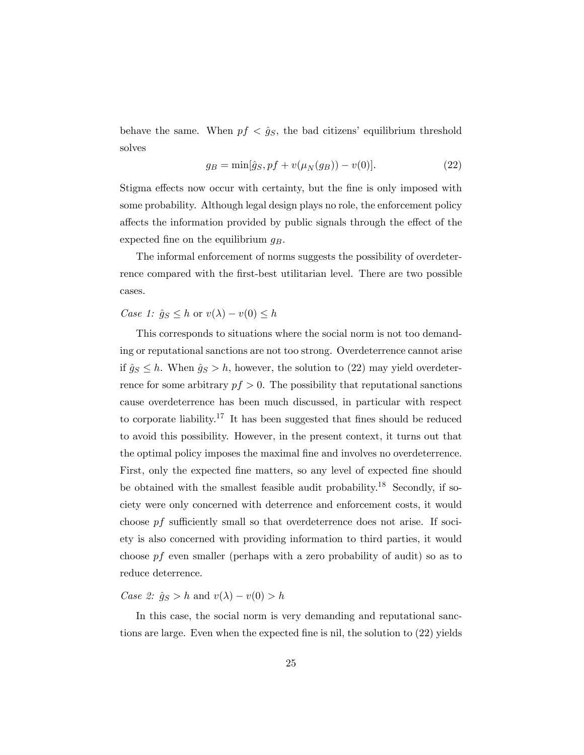behave the same. When  $pf < \hat{g}_S$ , the bad citizens' equilibrium threshold solves

$$
g_B = \min[\hat{g}_S, pf + v(\mu_N(g_B)) - v(0)].
$$
\n(22)

Stigma effects now occur with certainty, but the fine is only imposed with some probability. Although legal design plays no role, the enforcement policy affects the information provided by public signals through the effect of the expected fine on the equilibrium  $g_B$ .

The informal enforcement of norms suggests the possibility of overdeterrence compared with the first-best utilitarian level. There are two possible cases.

# Case 1:  $\hat{g}_S \leq h$  or  $v(\lambda) - v(0) \leq h$

This corresponds to situations where the social norm is not too demanding or reputational sanctions are not too strong. Overdeterrence cannot arise if  $\hat{g}_S \leq h$ . When  $\hat{g}_S > h$ , however, the solution to (22) may yield overdeterrence for some arbitrary  $pf > 0$ . The possibility that reputational sanctions cause overdeterrence has been much discussed, in particular with respect to corporate liability.<sup>17</sup> It has been suggested that fines should be reduced to avoid this possibility. However, in the present context, it turns out that the optimal policy imposes the maximal fine and involves no overdeterrence. First, only the expected fine matters, so any level of expected fine should be obtained with the smallest feasible audit probability.<sup>18</sup> Secondly, if society were only concerned with deterrence and enforcement costs, it would choose  $pf$  sufficiently small so that overdeterrence does not arise. If society is also concerned with providing information to third parties, it would choose pf even smaller (perhaps with a zero probability of audit) so as to reduce deterrence.

# Case 2:  $\hat{g}_S > h$  and  $v(\lambda) - v(0) > h$

In this case, the social norm is very demanding and reputational sanctions are large. Even when the expected fine is nil, the solution to  $(22)$  yields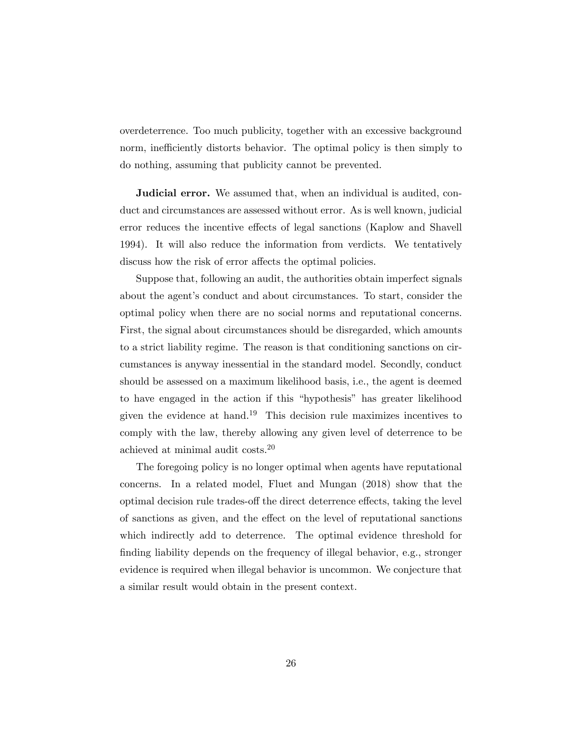overdeterrence. Too much publicity, together with an excessive background norm, inefficiently distorts behavior. The optimal policy is then simply to do nothing, assuming that publicity cannot be prevented.

**Judicial error.** We assumed that, when an individual is audited, conduct and circumstances are assessed without error. As is well known, judicial error reduces the incentive effects of legal sanctions (Kaplow and Shavell 1994). It will also reduce the information from verdicts. We tentatively discuss how the risk of error affects the optimal policies.

Suppose that, following an audit, the authorities obtain imperfect signals about the agent's conduct and about circumstances. To start, consider the optimal policy when there are no social norms and reputational concerns. First, the signal about circumstances should be disregarded, which amounts to a strict liability regime. The reason is that conditioning sanctions on circumstances is anyway inessential in the standard model. Secondly, conduct should be assessed on a maximum likelihood basis, i.e., the agent is deemed to have engaged in the action if this "hypothesis" has greater likelihood given the evidence at hand.<sup>19</sup> This decision rule maximizes incentives to comply with the law, thereby allowing any given level of deterrence to be achieved at minimal audit costs.<sup>20</sup>

The foregoing policy is no longer optimal when agents have reputational concerns. In a related model, Fluet and Mungan (2018) show that the optimal decision rule trades-off the direct deterrence effects, taking the level of sanctions as given, and the effect on the level of reputational sanctions which indirectly add to deterrence. The optimal evidence threshold for finding liability depends on the frequency of illegal behavior, e.g., stronger evidence is required when illegal behavior is uncommon. We conjecture that a similar result would obtain in the present context.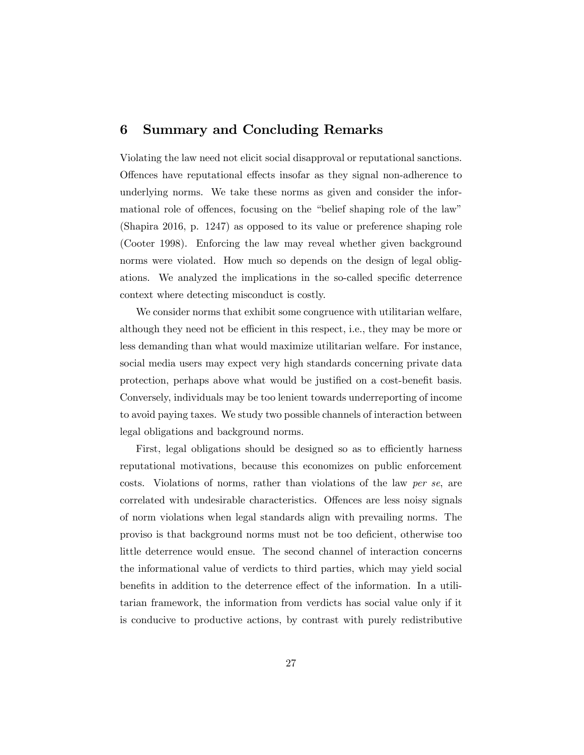# 6 Summary and Concluding Remarks

Violating the law need not elicit social disapproval or reputational sanctions. Offences have reputational effects insofar as they signal non-adherence to underlying norms. We take these norms as given and consider the informational role of offences, focusing on the "belief shaping role of the law" (Shapira 2016, p. 1247) as opposed to its value or preference shaping role (Cooter 1998). Enforcing the law may reveal whether given background norms were violated. How much so depends on the design of legal obligations. We analyzed the implications in the so-called specific deterrence context where detecting misconduct is costly.

We consider norms that exhibit some congruence with utilitarian welfare, although they need not be efficient in this respect, i.e., they may be more or less demanding than what would maximize utilitarian welfare. For instance, social media users may expect very high standards concerning private data protection, perhaps above what would be justified on a cost-benefit basis. Conversely, individuals may be too lenient towards underreporting of income to avoid paying taxes. We study two possible channels of interaction between legal obligations and background norms.

First, legal obligations should be designed so as to efficiently harness reputational motivations, because this economizes on public enforcement costs. Violations of norms, rather than violations of the law per se, are correlated with undesirable characteristics. Offences are less noisy signals of norm violations when legal standards align with prevailing norms. The proviso is that background norms must not be too deÖcient, otherwise too little deterrence would ensue. The second channel of interaction concerns the informational value of verdicts to third parties, which may yield social benefits in addition to the deterrence effect of the information. In a utilitarian framework, the information from verdicts has social value only if it is conducive to productive actions, by contrast with purely redistributive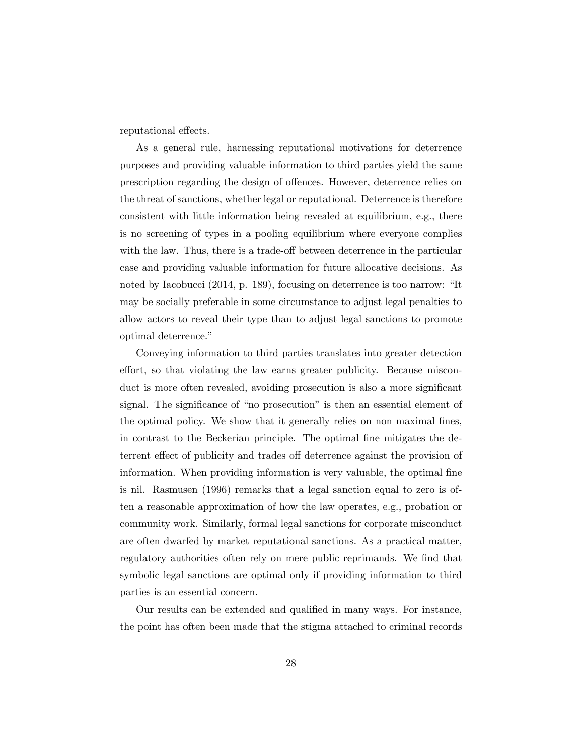reputational effects.

As a general rule, harnessing reputational motivations for deterrence purposes and providing valuable information to third parties yield the same prescription regarding the design of offences. However, deterrence relies on the threat of sanctions, whether legal or reputational. Deterrence is therefore consistent with little information being revealed at equilibrium, e.g., there is no screening of types in a pooling equilibrium where everyone complies with the law. Thus, there is a trade-off between deterrence in the particular case and providing valuable information for future allocative decisions. As noted by Iacobucci (2014, p. 189), focusing on deterrence is too narrow: "It may be socially preferable in some circumstance to adjust legal penalties to allow actors to reveal their type than to adjust legal sanctions to promote optimal deterrence."

Conveying information to third parties translates into greater detection effort, so that violating the law earns greater publicity. Because misconduct is more often revealed, avoiding prosecution is also a more significant signal. The significance of "no prosecution" is then an essential element of the optimal policy. We show that it generally relies on non maximal Önes, in contrast to the Beckerian principle. The optimal fine mitigates the deterrent effect of publicity and trades off deterrence against the provision of information. When providing information is very valuable, the optimal fine is nil. Rasmusen (1996) remarks that a legal sanction equal to zero is often a reasonable approximation of how the law operates, e.g., probation or community work. Similarly, formal legal sanctions for corporate misconduct are often dwarfed by market reputational sanctions. As a practical matter, regulatory authorities often rely on mere public reprimands. We find that symbolic legal sanctions are optimal only if providing information to third parties is an essential concern.

Our results can be extended and qualified in many ways. For instance, the point has often been made that the stigma attached to criminal records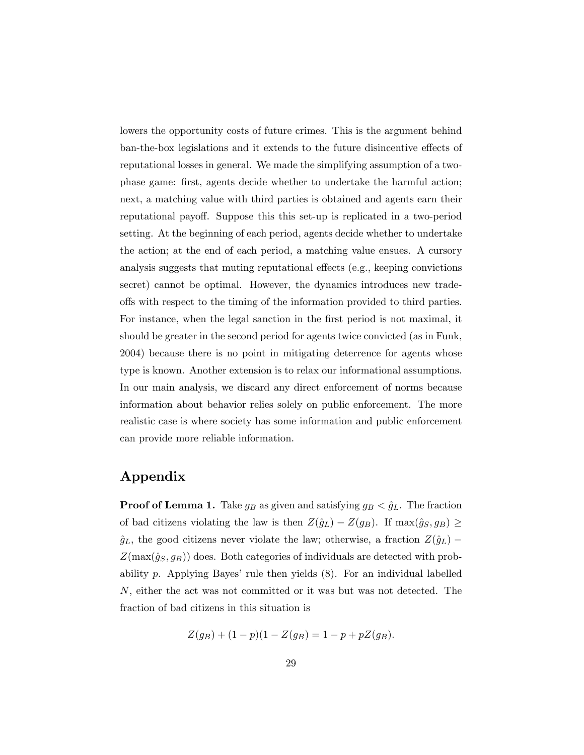lowers the opportunity costs of future crimes. This is the argument behind ban-the-box legislations and it extends to the future disincentive effects of reputational losses in general. We made the simplifying assumption of a twophase game: Örst, agents decide whether to undertake the harmful action; next, a matching value with third parties is obtained and agents earn their reputational payoff. Suppose this this set-up is replicated in a two-period setting. At the beginning of each period, agents decide whether to undertake the action; at the end of each period, a matching value ensues. A cursory analysis suggests that muting reputational effects (e.g., keeping convictions secret) cannot be optimal. However, the dynamics introduces new tradeo§s with respect to the timing of the information provided to third parties. For instance, when the legal sanction in the first period is not maximal, it should be greater in the second period for agents twice convicted (as in Funk, 2004) because there is no point in mitigating deterrence for agents whose type is known. Another extension is to relax our informational assumptions. In our main analysis, we discard any direct enforcement of norms because information about behavior relies solely on public enforcement. The more realistic case is where society has some information and public enforcement can provide more reliable information.

# Appendix

**Proof of Lemma 1.** Take  $g_B$  as given and satisfying  $g_B < \hat{g}_L$ . The fraction of bad citizens violating the law is then  $Z(\hat{g}_L) - Z(g_B)$ . If  $\max(\hat{g}_S, g_B) \geq$  $\hat{g}_L$ , the good citizens never violate the law; otherwise, a fraction  $Z(\hat{g}_L)$  –  $Z(\max(\hat{g}_S, g_B))$  does. Both categories of individuals are detected with probability  $p$ . Applying Bayes' rule then yields  $(8)$ . For an individual labelled N, either the act was not committed or it was but was not detected. The fraction of bad citizens in this situation is

$$
Z(g_B) + (1 - p)(1 - Z(g_B)) = 1 - p + pZ(g_B).
$$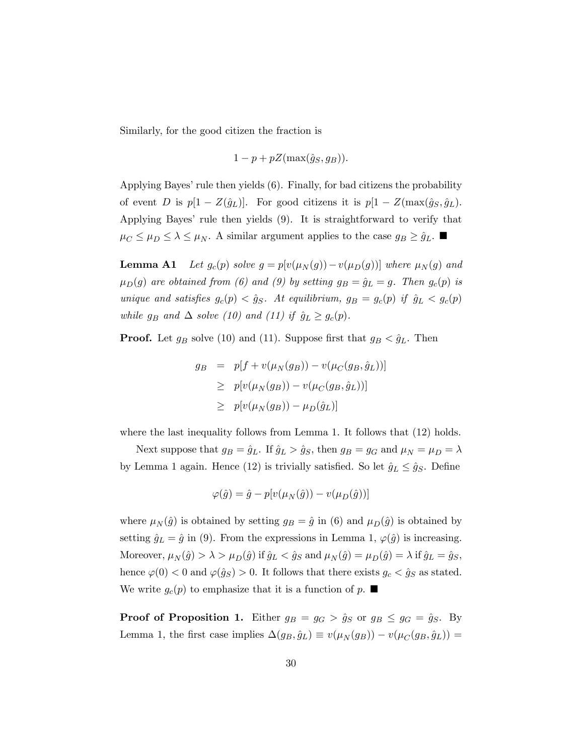Similarly, for the good citizen the fraction is

$$
1 - p + pZ(\max(\hat{g}_S, g_B)).
$$

Applying Bayes' rule then yields  $(6)$ . Finally, for bad citizens the probability of event D is  $p[1 - Z(\hat{g}_L)]$ . For good citizens it is  $p[1 - Z(\max(\hat{g}_S, \hat{g}_L))$ . Applying Bayes' rule then yields (9). It is straightforward to verify that  $\mu_C \leq \mu_D \leq \lambda \leq \mu_N$ . A similar argument applies to the case  $g_B \geq \hat{g}_L$ .

**Lemma A1** Let  $g_c(p)$  solve  $g = p[v(\mu_N(g)) - v(\mu_D(g))]$  where  $\mu_N(g)$  and  $\mu_D(g)$  are obtained from (6) and (9) by setting  $g_B = \hat{g}_L = g$ . Then  $g_c(p)$  is unique and satisfies  $g_c(p) < \hat{g}_S$ . At equilibrium,  $g_B = g_c(p)$  if  $\hat{g}_L < g_c(p)$ while  $g_B$  and  $\Delta$  solve (10) and (11) if  $\hat{g}_L \geq g_c(p)$ .

**Proof.** Let  $g_B$  solve (10) and (11). Suppose first that  $g_B < \hat{g}_L$ . Then

$$
g_B = p[f + v(\mu_N(g_B)) - v(\mu_C(g_B, \hat{g}_L))]
$$
  
\n
$$
\geq p[v(\mu_N(g_B)) - v(\mu_C(g_B, \hat{g}_L))]
$$
  
\n
$$
\geq p[v(\mu_N(g_B)) - \mu_D(\hat{g}_L)]
$$

where the last inequality follows from Lemma 1. It follows that  $(12)$  holds.

Next suppose that  $g_B = \hat{g}_L$ . If  $\hat{g}_L > \hat{g}_S$ , then  $g_B = g_G$  and  $\mu_N = \mu_D = \lambda$ by Lemma 1 again. Hence (12) is trivially satisfied. So let  $\hat{g}_L \leq \hat{g}_S$ . Define

$$
\varphi(\hat{g}) = \hat{g} - p[v(\mu_N(\hat{g})) - v(\mu_D(\hat{g}))]
$$

where  $\mu_N(\hat{g})$  is obtained by setting  $g_B = \hat{g}$  in (6) and  $\mu_D(\hat{g})$  is obtained by setting  $\hat{g}_L = \hat{g}$  in (9). From the expressions in Lemma 1,  $\varphi(\hat{g})$  is increasing. Moreover,  $\mu_N(\hat{g}) > \lambda > \mu_D(\hat{g})$  if  $\hat{g}_L < \hat{g}_S$  and  $\mu_N(\hat{g}) = \mu_D(\hat{g}) = \lambda$  if  $\hat{g}_L = \hat{g}_S$ , hence  $\varphi(0) < 0$  and  $\varphi(\hat{g}_S) > 0$ . It follows that there exists  $g_c < \hat{g}_S$  as stated. We write  $g_c(p)$  to emphasize that it is a function of p.  $\blacksquare$ 

**Proof of Proposition 1.** Either  $g_B = g_G > \hat{g}_S$  or  $g_B \leq g_G = \hat{g}_S$ . By Lemma 1, the first case implies  $\Delta(g_B, \hat{g}_L) \equiv v(\mu_N (g_B)) - v(\mu_C(g_B, \hat{g}_L)) =$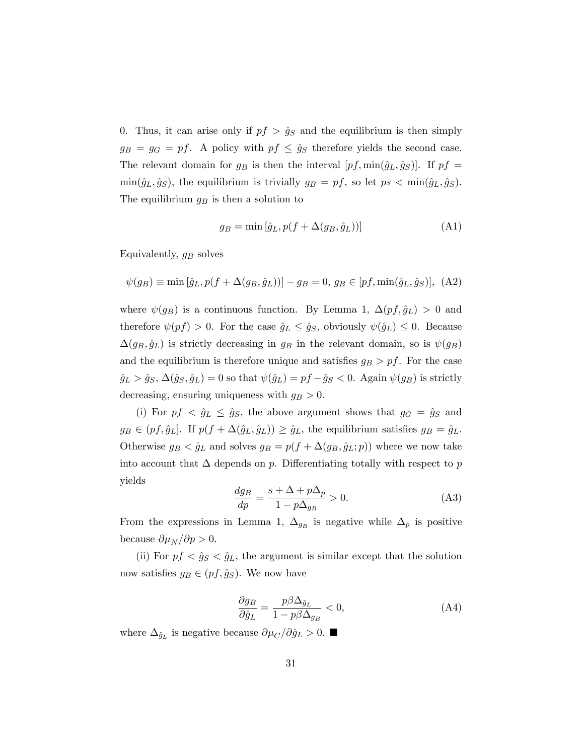0. Thus, it can arise only if  $pf > \hat{g}_S$  and the equilibrium is then simply  $g_B = g_G = pf$ . A policy with  $pf \leq \hat{g}_S$  therefore yields the second case. The relevant domain for  $g_B$  is then the interval  $[pf, \min(\hat{g}_L, \hat{g}_S)]$ . If  $pf =$  $\min(\hat{g}_L, \hat{g}_S)$ , the equilibrium is trivially  $g_B = pf$ , so let  $ps < \min(\hat{g}_L, \hat{g}_S)$ . The equilibrium  $g_B$  is then a solution to

$$
g_B = \min\left[\hat{g}_L, p(f + \Delta(g_B, \hat{g}_L))\right]
$$
\n(A1)

Equivalently,  $g_B$  solves

$$
\psi(g_B) \equiv \min[\hat{g}_L, p(f + \Delta(g_B, \hat{g}_L))] - g_B = 0, \ g_B \in [pf, \min(\hat{g}_L, \hat{g}_S)], \ (A2)
$$

where  $\psi(g_B)$  is a continuous function. By Lemma 1,  $\Delta(pf, \hat{g}_L) > 0$  and therefore  $\psi(pf) > 0$ . For the case  $\hat{g}_L \leq \hat{g}_S$ , obviously  $\psi(\hat{g}_L) \leq 0$ . Because  $\Delta(g_B, \hat{g}_L)$  is strictly decreasing in  $g_B$  in the relevant domain, so is  $\psi(g_B)$ and the equilibrium is therefore unique and satisfies  $g_B > pf$ . For the case  $\hat{g}_L > \hat{g}_S, \Delta(\hat{g}_S, \hat{g}_L) = 0$  so that  $\psi(\hat{g}_L) = pf - \hat{g}_S < 0$ . Again  $\psi(g_B)$  is strictly decreasing, ensuring uniqueness with  $g_B > 0$ .

(i) For  $pf < \hat{g}_L \leq \hat{g}_S$ , the above argument shows that  $g_G = \hat{g}_S$  and  $g_B \in (pf, \hat{g}_L]$ . If  $p(f + \Delta(\hat{g}_L, \hat{g}_L)) \geq \hat{g}_L$ , the equilibrium satisfies  $g_B = \hat{g}_L$ . Otherwise  $g_B < \hat{g}_L$  and solves  $g_B = p(f + \Delta(g_B, \hat{g}_L; p))$  where we now take into account that  $\Delta$  depends on p. Differentiating totally with respect to p yields

$$
\frac{dg_B}{dp} = \frac{s + \Delta + p\Delta_p}{1 - p\Delta_{g_B}} > 0.
$$
\n(A3)

From the expressions in Lemma 1,  $\Delta_{g_B}$  is negative while  $\Delta_p$  is positive because  $\partial \mu_N / \partial p > 0$ .

(ii) For  $pf < \hat{g}_S < \hat{g}_L$ , the argument is similar except that the solution now satisfies  $g_B \in (pf, \hat{g}_S)$ . We now have

$$
\frac{\partial g_B}{\partial \hat{g}_L} = \frac{p\beta \Delta_{\hat{g}_L}}{1 - p\beta \Delta_{g_B}} < 0,\tag{A4}
$$

where  $\Delta_{\hat{g}_L}$  is negative because  $\partial \mu_C/\partial \hat{g}_L > 0$ .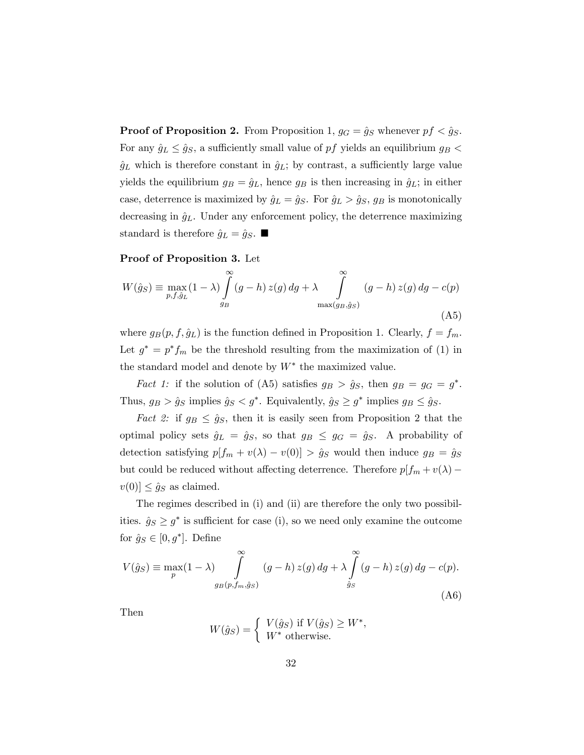**Proof of Proposition 2.** From Proposition 1,  $g_G = \hat{g}_S$  whenever  $pf < \hat{g}_S$ . For any  $\hat{g}_L \leq \hat{g}_S$ , a sufficiently small value of pf yields an equilibrium  $g_B$  <  $\hat{g}_L$  which is therefore constant in  $\hat{g}_L$ ; by contrast, a sufficiently large value yields the equilibrium  $g_B = \hat{g}_L$ , hence  $g_B$  is then increasing in  $\hat{g}_L$ ; in either case, deterrence is maximized by  $\hat{g}_L = \hat{g}_S$ . For  $\hat{g}_L > \hat{g}_S$ ,  $g_B$  is monotonically decreasing in  $\hat{g}_L$ . Under any enforcement policy, the deterrence maximizing standard is therefore  $\hat{g}_L = \hat{g}_S$ .

#### Proof of Proposition 3. Let

$$
W(\hat{g}_S) \equiv \max_{p, f, \hat{g}_L} (1 - \lambda) \int_{g_B}^{\infty} (g - h) z(g) dg + \lambda \int_{\max(g_B, \hat{g}_S)}^{\infty} (g - h) z(g) dg - c(p)
$$
\n(A5)

where  $g_B(p, f, \hat{g}_L)$  is the function defined in Proposition 1. Clearly,  $f = f_m$ . Let  $g^* = p^* f_m$  be the threshold resulting from the maximization of (1) in the standard model and denote by  $W^*$  the maximized value.

*Fact 1:* if the solution of (A5) satisfies  $g_B > \hat{g}_S$ , then  $g_B = g_G = g^*$ . Thus,  $g_B > \hat{g}_S$  implies  $\hat{g}_S < g^*$ . Equivalently,  $\hat{g}_S \ge g^*$  implies  $g_B \le \hat{g}_S$ .

*Fact 2:* if  $g_B \le \hat{g}_S$ , then it is easily seen from Proposition 2 that the optimal policy sets  $\hat{g}_L = \hat{g}_S$ , so that  $g_B \leq g_G = \hat{g}_S$ . A probability of detection satisfying  $p[f_m + v(\lambda) - v(0)] > \hat{g}_S$  would then induce  $g_B = \hat{g}_S$ but could be reduced without affecting deterrence. Therefore  $p[f_m + v(\lambda)$  $v(0) \leq \hat{g}_S$  as claimed.

The regimes described in (i) and (ii) are therefore the only two possibilities.  $\hat{g}_S \geq g^*$  is sufficient for case (i), so we need only examine the outcome for  $\hat{g}_S \in [0, g^*]$ . Define

$$
V(\hat{g}_S) \equiv \max_p (1 - \lambda) \int_{g_B(p, f_m, \hat{g}_S)}^{\infty} (g - h) z(g) dg + \lambda \int_{\hat{g}_S}^{\infty} (g - h) z(g) dg - c(p).
$$
\n(A6)

Then

$$
W(\hat{g}_S) = \begin{cases} V(\hat{g}_S) \text{ if } V(\hat{g}_S) \ge W^*, \\ W^* \text{ otherwise.} \end{cases}
$$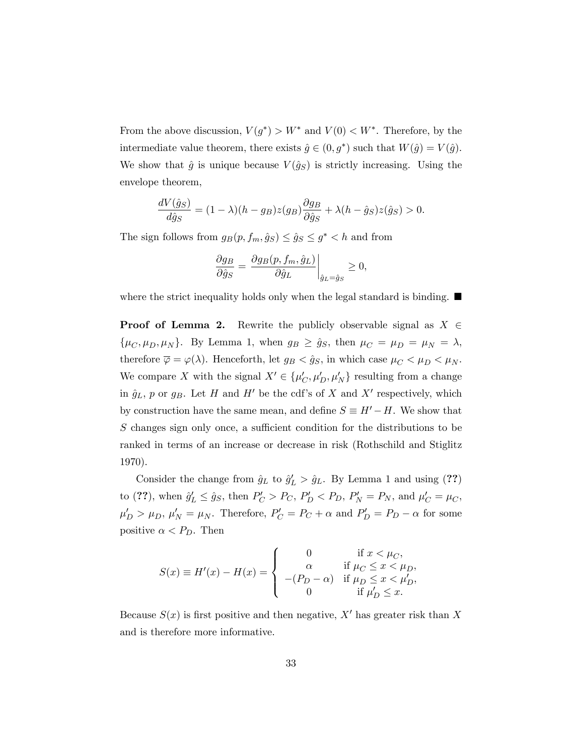From the above discussion,  $V(g^*) > W^*$  and  $V(0) < W^*$ . Therefore, by the intermediate value theorem, there exists  $\hat{g} \in (0, g^*)$  such that  $W(\hat{g}) = V(\hat{g})$ . We show that  $\hat{g}$  is unique because  $V (\hat{g}_S)$  is strictly increasing. Using the envelope theorem,

$$
\frac{dV(\hat{g}_S)}{d\hat{g}_S} = (1 - \lambda)(h - g_B)z(g_B)\frac{\partial g_B}{\partial \hat{g}_S} + \lambda(h - \hat{g}_S)z(\hat{g}_S) > 0.
$$

The sign follows from  $g_B(p, f_m, \hat{g}_S) \leq \hat{g}_S \leq g^* < h$  and from

$$
\frac{\partial g_B}{\partial \hat g_S} = \left.\frac{\partial g_B(p,f_m,\hat g_L)}{\partial \hat g_L}\right|_{\hat g_L=\hat g_S} \geq 0,
$$

where the strict inequality holds only when the legal standard is binding.  $\blacksquare$ 

**Proof of Lemma 2.** Rewrite the publicly observable signal as  $X \in$  $\{\mu_C, \mu_D, \mu_N\}$ . By Lemma 1, when  $g_B \ge \hat{g}_S$ , then  $\mu_C = \mu_D = \mu_N = \lambda$ , therefore  $\overline{\varphi} = \varphi(\lambda)$ . Henceforth, let  $g_B < \hat{g}_S$ , in which case  $\mu_C < \mu_D < \mu_N$ . We compare X with the signal  $X' \in {\{\mu'_C, \mu'_D, \mu'_N\}}$  resulting from a change in  $\hat{g}_L$ , p or  $g_B$ . Let H and H' be the cdf's of X and X' respectively, which by construction have the same mean, and define  $S \equiv H' - H$ . We show that S changes sign only once, a sufficient condition for the distributions to be ranked in terms of an increase or decrease in risk (Rothschild and Stiglitz 1970).

Consider the change from  $\hat{g}_L$  to  $\hat{g}'_L > \hat{g}_L$ . By Lemma 1 and using (??) to (??), when  $\hat{g}'_L \leq \hat{g}_S$ , then  $P'_C > P_C$ ,  $P'_D < P_D$ ,  $P'_N = P_N$ , and  $\mu'_C = \mu_C$ ,  $\mu'_D > \mu_D, \mu'_N = \mu_N$ . Therefore,  $P'_C = P_C + \alpha$  and  $P'_D = P_D - \alpha$  for some positive  $\alpha < P_D$ . Then

$$
S(x) \equiv H'(x) - H(x) = \begin{cases} 0 & \text{if } x < \mu_C, \\ \alpha & \text{if } \mu_C \le x < \mu_D, \\ -(P_D - \alpha) & \text{if } \mu_D \le x < \mu'_D, \\ 0 & \text{if } \mu'_D \le x. \end{cases}
$$

Because  $S(x)$  is first positive and then negative, X' has greater risk than X and is therefore more informative.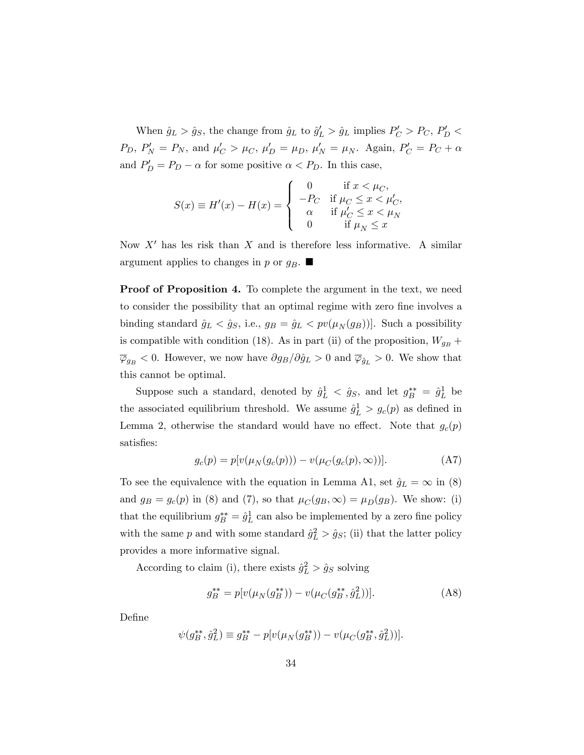When  $\hat{g}_L > \hat{g}_S$ , the change from  $\hat{g}_L$  to  $\hat{g}'_L > \hat{g}_L$  implies  $P'_C > P_C$ ,  $P'_D <$  $P_D, P'_N = P_N$ , and  $\mu'_C > \mu_C, \mu'_D = \mu_D, \mu'_N = \mu_N$ . Again,  $P'_C = P_C + \alpha$ and  $P'_D = P_D - \alpha$  for some positive  $\alpha < P_D$ . In this case,

$$
S(x) \equiv H'(x) - H(x) = \begin{cases} 0 & \text{if } x < \mu_C, \\ -P_C & \text{if } \mu_C \le x < \mu_C', \\ \alpha & \text{if } \mu_C' \le x < \mu_N \\ 0 & \text{if } \mu_N \le x \end{cases}
$$

Now  $X'$  has les risk than X and is therefore less informative. A similar argument applies to changes in p or  $g_B$ .

Proof of Proposition 4. To complete the argument in the text, we need to consider the possibility that an optimal regime with zero fine involves a binding standard  $\hat{g}_L < \hat{g}_S$ , i.e.,  $g_B = \hat{g}_L < pv(\mu_N (g_B))$ . Such a possibility is compatible with condition (18). As in part (ii) of the proposition,  $W_{g_B}$  +  $\overline{\varphi}_{g_B}$  < 0. However, we now have  $\partial g_B/\partial \hat{g}_L > 0$  and  $\overline{\varphi}_{\hat{g}_L} > 0$ . We show that this cannot be optimal.

Suppose such a standard, denoted by  $\hat{g}^1_L < \hat{g}_S$ , and let  $g^{**}_B = \hat{g}^1_L$  be the associated equilibrium threshold. We assume  $\hat{g}_L^1 > g_c(p)$  as defined in Lemma 2, otherwise the standard would have no effect. Note that  $g_c(p)$ satisfies:

$$
g_c(p) = p[v(\mu_N(g_c(p))) - v(\mu_C(g_c(p), \infty))].
$$
 (A7)

To see the equivalence with the equation in Lemma A1, set  $\hat{g}_L = \infty$  in (8) and  $g_B = g_c(p)$  in (8) and (7), so that  $\mu_C(g_B,\infty) = \mu_D(g_B)$ . We show: (i) that the equilibrium  $g_B^{**} = \hat{g}_L^1$  can also be implemented by a zero fine policy with the same p and with some standard  $\hat{g}_L^2 > \hat{g}_S$ ; (ii) that the latter policy provides a more informative signal.

According to claim (i), there exists  $\hat{g}_L^2 > \hat{g}_S$  solving

$$
g_B^{**} = p[v(\mu_N(g_B^{**})) - v(\mu_C(g_B^{**}, \hat{g}_L^2))].
$$
 (A8)

DeÖne

$$
\psi(g_B^{**}, \hat{g}_L^2) \equiv g_B^{**} - p[v(\mu_N(g_B^{**})) - v(\mu_C(g_B^{**}, \hat{g}_L^2))].
$$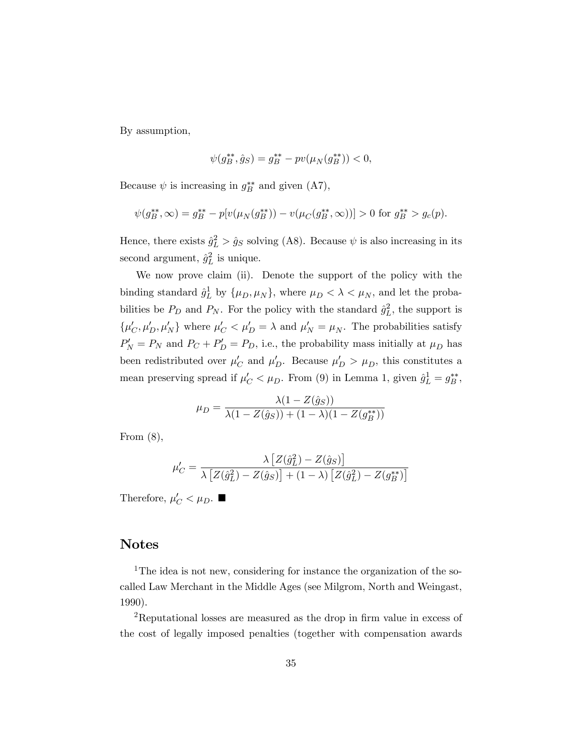By assumption,

$$
\psi(g_B^{**}, \hat{g}_S) = g_B^{**} - pv(\mu_N(g_B^{**})) < 0,
$$

Because  $\psi$  is increasing in  $g_B^{**}$  and given (A7),

$$
\psi(g_B^{**}, \infty) = g_B^{**} - p[v(\mu_N(g_B^{**})) - v(\mu_C(g_B^{**}, \infty))] > 0 \text{ for } g_B^{**} > g_c(p).
$$

Hence, there exists  $\hat{g}_L^2 > \hat{g}_S$  solving (A8). Because  $\psi$  is also increasing in its second argument,  $\hat{g}_L^2$  is unique.

We now prove claim (ii). Denote the support of the policy with the binding standard  $\hat{g}_L^1$  by  $\{\mu_D, \mu_N\}$ , where  $\mu_D < \lambda < \mu_N$ , and let the probabilities be  $P_D$  and  $P_N$ . For the policy with the standard  $\hat{g}_L^2$ , the support is  $\{\mu'_C, \mu'_D, \mu'_N\}$  where  $\mu'_C < \mu'_D = \lambda$  and  $\mu'_N = \mu_N$ . The probabilities satisfy  $P'_N = P_N$  and  $P_C + P'_D = P_D$ , i.e., the probability mass initially at  $\mu_D$  has been redistributed over  $\mu'_C$  and  $\mu'_D$ . Because  $\mu'_D > \mu_D$ , this constitutes a mean preserving spread if  $\mu'_C < \mu_D$ . From (9) in Lemma 1, given  $\hat{g}_L^1 = g_B^{**}$ ,

$$
\mu_D = \frac{\lambda (1 - Z(\hat{g}_S))}{\lambda (1 - Z(\hat{g}_S)) + (1 - \lambda)(1 - Z(g_B^{**}))}
$$

From (8),

$$
\mu_C' = \frac{\lambda \left[ Z(\hat{g}_L^2) - Z(\hat{g}_S) \right]}{\lambda \left[ Z(\hat{g}_L^2) - Z(\hat{g}_S) \right] + (1 - \lambda) \left[ Z(\hat{g}_L^2) - Z(g_L^{**}) \right]}
$$

Therefore,  $\mu'_C < \mu_D$ .

## Notes

<sup>1</sup>The idea is not new, considering for instance the organization of the socalled Law Merchant in the Middle Ages (see Milgrom, North and Weingast, 1990).

<sup>2</sup>Reputational losses are measured as the drop in firm value in excess of the cost of legally imposed penalties (together with compensation awards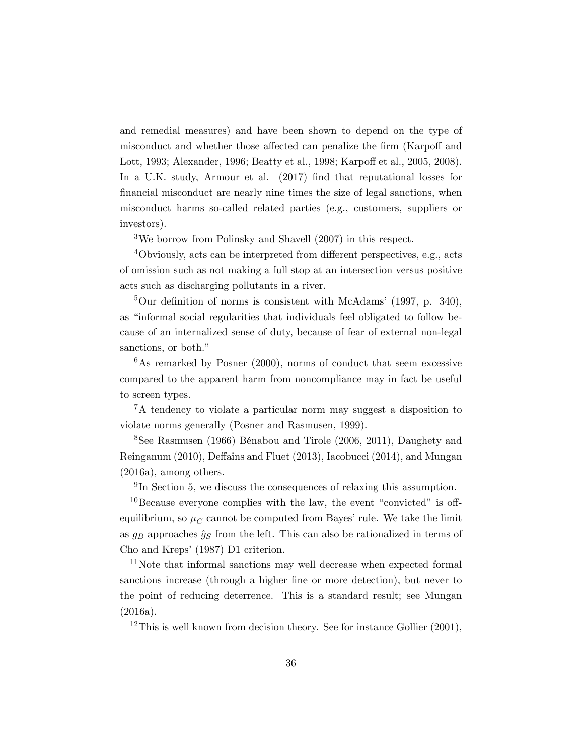and remedial measures) and have been shown to depend on the type of misconduct and whether those affected can penalize the firm (Karpoff and Lott, 1993; Alexander, 1996; Beatty et al., 1998; Karpoff et al., 2005, 2008). In a U.K. study, Armour et al. (2017) find that reputational losses for Önancial misconduct are nearly nine times the size of legal sanctions, when misconduct harms so-called related parties (e.g., customers, suppliers or investors).

<sup>3</sup>We borrow from Polinsky and Shavell (2007) in this respect.

 $4$ Obviously, acts can be interpreted from different perspectives, e.g., acts of omission such as not making a full stop at an intersection versus positive acts such as discharging pollutants in a river.

 $5$ Our definition of norms is consistent with McAdams' (1997, p. 340), as "informal social regularities that individuals feel obligated to follow because of an internalized sense of duty, because of fear of external non-legal sanctions, or both."

 $6$ As remarked by Posner (2000), norms of conduct that seem excessive compared to the apparent harm from noncompliance may in fact be useful to screen types.

<sup>7</sup>A tendency to violate a particular norm may suggest a disposition to violate norms generally (Posner and Rasmusen, 1999).

<sup>8</sup>See Rasmusen (1966) Bénabou and Tirole (2006, 2011), Daughety and Reinganum (2010), Deffains and Fluet (2013), Iacobucci (2014), and Mungan (2016a), among others.

<sup>9</sup>In Section 5, we discuss the consequences of relaxing this assumption.

 $10$ Because everyone complies with the law, the event "convicted" is offequilibrium, so  $\mu_C$  cannot be computed from Bayes' rule. We take the limit as  $g_B$  approaches  $\hat{g}_S$  from the left. This can also be rationalized in terms of Cho and Kreps' (1987) D1 criterion.

<sup>11</sup>Note that informal sanctions may well decrease when expected formal sanctions increase (through a higher fine or more detection), but never to the point of reducing deterrence. This is a standard result; see Mungan (2016a).

<sup>12</sup>This is well known from decision theory. See for instance Gollier  $(2001)$ ,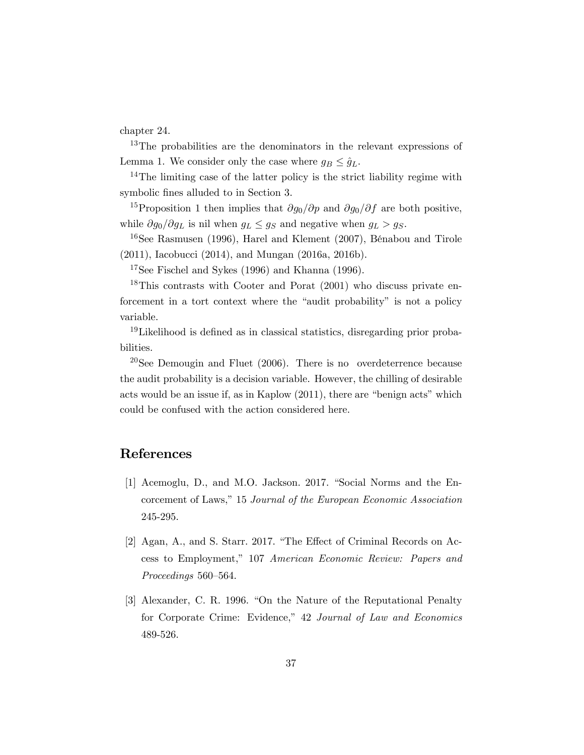chapter 24.

<sup>13</sup>The probabilities are the denominators in the relevant expressions of Lemma 1. We consider only the case where  $g_B \leq \hat{g}_L$ .

<sup>14</sup>The limiting case of the latter policy is the strict liability regime with symbolic fines alluded to in Section 3.

<sup>15</sup>Proposition 1 then implies that  $\partial g_0/\partial p$  and  $\partial g_0/\partial f$  are both positive, while  $\partial g_0/\partial g_L$  is nil when  $g_L \leq g_S$  and negative when  $g_L > g_S$ .

<sup>16</sup>See Rasmusen (1996), Harel and Klement (2007), Bénabou and Tirole (2011), Iacobucci (2014), and Mungan (2016a, 2016b).

<sup>17</sup>See Fischel and Sykes (1996) and Khanna (1996).

<sup>18</sup>This contrasts with Cooter and Porat (2001) who discuss private enforcement in a tort context where the "audit probability" is not a policy variable.

 $19$ Likelihood is defined as in classical statistics, disregarding prior probabilities.

<sup>20</sup>See Demougin and Fluet  $(2006)$ . There is no overdeterrence because the audit probability is a decision variable. However, the chilling of desirable acts would be an issue if, as in Kaplow  $(2011)$ , there are "benign acts" which could be confused with the action considered here.

# References

- [1] Acemoglu, D., and M.O. Jackson. 2017. "Social Norms and the Encorcement of Laws," 15 Journal of the European Economic Association 245-295.
- [2] Agan, A., and S. Starr. 2017. "The Effect of Criminal Records on Access to Employment," 107 American Economic Review: Papers and  $Proceedings 560–564.$
- [3] Alexander, C. R. 1996. "On the Nature of the Reputational Penalty for Corporate Crime: Evidence," 42 Journal of Law and Economics 489-526.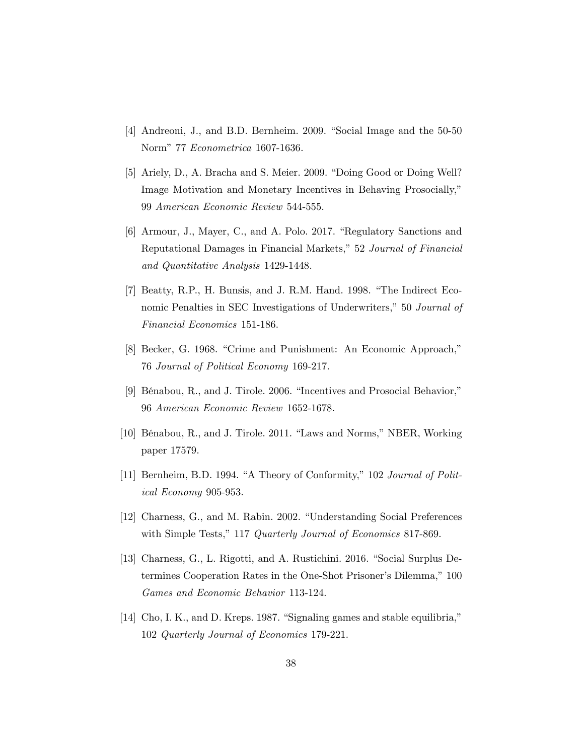- [4] Andreoni, J., and B.D. Bernheim. 2009. "Social Image and the 50-50 Normî 77 Econometrica 1607-1636.
- [5] Ariely, D., A. Bracha and S. Meier. 2009. "Doing Good or Doing Well? Image Motivation and Monetary Incentives in Behaving Prosocially," 99 American Economic Review 544-555.
- [6] Armour, J., Mayer, C., and A. Polo. 2017. "Regulatory Sanctions and Reputational Damages in Financial Markets," 52 Journal of Financial and Quantitative Analysis 1429-1448.
- $[7]$  Beatty, R.P., H. Bunsis, and J. R.M. Hand. 1998. "The Indirect Economic Penalties in SEC Investigations of Underwriters," 50 Journal of Financial Economics 151-186.
- [8] Becker, G. 1968. "Crime and Punishment: An Economic Approach," 76 Journal of Political Economy 169-217.
- [9] Bénabou, R., and J. Tirole. 2006. "Incentives and Prosocial Behavior," 96 American Economic Review 1652-1678.
- [10] Bénabou, R., and J. Tirole.  $2011$ . "Laws and Norms," NBER, Working paper 17579.
- [11] Bernheim, B.D. 1994. "A Theory of Conformity," 102 Journal of Political Economy 905-953.
- [12] Charness, G., and M. Rabin. 2002. "Understanding Social Preferences with Simple Tests," 117 Quarterly Journal of Economics 817-869.
- [13] Charness, G., L. Rigotti, and A. Rustichini. 2016. "Social Surplus Determines Cooperation Rates in the One-Shot Prisoner's Dilemma," 100 Games and Economic Behavior 113-124.
- [14] Cho, I. K., and D. Kreps. 1987. "Signaling games and stable equilibria," 102 Quarterly Journal of Economics 179-221.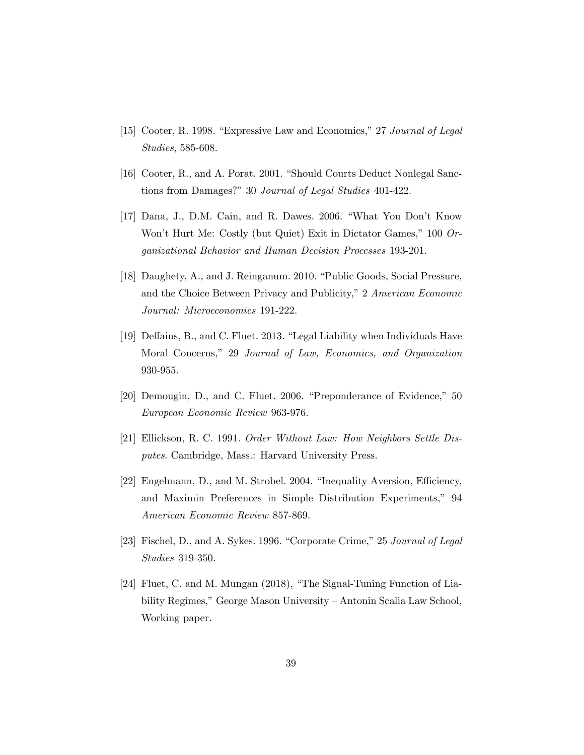- [15] Cooter, R. 1998. "Expressive Law and Economics," 27 Journal of Legal Studies, 585-608.
- [16] Cooter, R., and A. Porat. 2001. "Should Courts Deduct Nonlegal Sanctions from Damages?" 30 Journal of Legal Studies 401-422.
- [17] Dana, J., D.M. Cain, and R. Dawes.  $2006.$  "What You Don't Know Won't Hurt Me: Costly (but Quiet) Exit in Dictator Games,"  $100$  Organizational Behavior and Human Decision Processes 193-201.
- [18] Daughety, A., and J. Reinganum. 2010. "Public Goods, Social Pressure, and the Choice Between Privacy and Publicity," 2 American Economic Journal: Microeconomics 191-222.
- [19] Deffains, B., and C. Fluet. 2013. "Legal Liability when Individuals Have Moral Concerns," 29 Journal of Law, Economics, and Organization 930-955.
- $[20]$  Demougin, D., and C. Fluet. 2006. "Preponderance of Evidence," 50 European Economic Review 963-976.
- [21] Ellickson, R. C. 1991. Order Without Law: How Neighbors Settle Disputes. Cambridge, Mass.: Harvard University Press.
- [22] Engelmann, D., and M. Strobel. 2004. "Inequality Aversion, Efficiency, and Maximin Preferences in Simple Distribution Experiments," 94 American Economic Review 857-869.
- [23] Fischel, D., and A. Sykes. 1996. "Corporate Crime," 25 Journal of Legal Studies 319-350.
- [24] Fluet, C. and M. Mungan  $(2018)$ , "The Signal-Tuning Function of Liability Regimes," George Mason University – Antonin Scalia Law School, Working paper.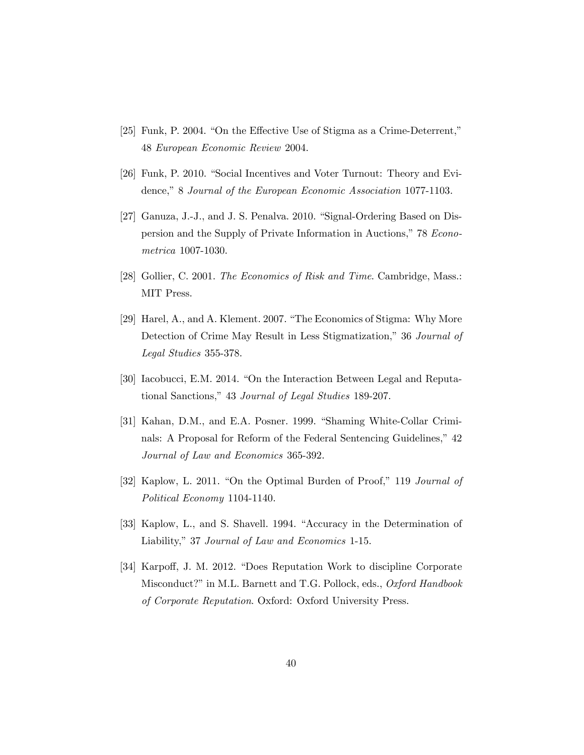- [25] Funk, P. 2004. "On the Effective Use of Stigma as a Crime-Deterrent," 48 European Economic Review 2004.
- [26] Funk, P. 2010. "Social Incentives and Voter Turnout: Theory and Evidence," 8 Journal of the European Economic Association 1077-1103.
- [27] Ganuza, J.-J., and J. S. Penalva.  $2010$ . "Signal-Ordering Based on Dispersion and the Supply of Private Information in Auctions," 78 Econometrica 1007-1030.
- [28] Gollier, C. 2001. The Economics of Risk and Time. Cambridge, Mass.: MIT Press.
- [29] Harel, A., and A. Klement. 2007. "The Economics of Stigma: Why More Detection of Crime May Result in Less Stigmatization," 36 Journal of Legal Studies 355-378.
- [30] Iacobucci, E.M. 2014. "On the Interaction Between Legal and Reputational Sanctions," 43 Journal of Legal Studies 189-207.
- [31] Kahan, D.M., and E.A. Posner. 1999. "Shaming White-Collar Criminals: A Proposal for Reform of the Federal Sentencing Guidelines," 42 Journal of Law and Economics 365-392.
- [32] Kaplow, L. 2011. "On the Optimal Burden of Proof," 119 Journal of Political Economy 1104-1140.
- [33] Kaplow, L., and S. Shavell. 1994. "Accuracy in the Determination of Liability," 37 Journal of Law and Economics 1-15.
- [34] Karpoff, J. M. 2012. "Does Reputation Work to discipline Corporate Misconduct?" in M.L. Barnett and T.G. Pollock, eds., Oxford Handbook of Corporate Reputation. Oxford: Oxford University Press.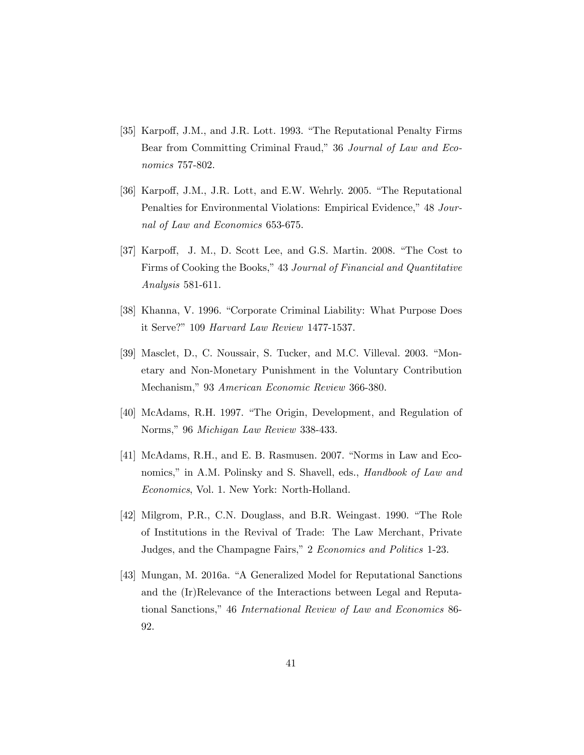- [35] Karpoff, J.M., and J.R. Lott. 1993. "The Reputational Penalty Firms Bear from Committing Criminal Fraud," 36 Journal of Law and Economics 757-802.
- [36] Karpoff, J.M., J.R. Lott, and E.W. Wehrly. 2005. "The Reputational Penalties for Environmental Violations: Empirical Evidence," 48 Journal of Law and Economics 653-675.
- [37] Karpoff, J. M., D. Scott Lee, and G.S. Martin. 2008. "The Cost to Firms of Cooking the Books," 43 Journal of Financial and Quantitative Analysis 581-611.
- [38] Khanna, V. 1996. "Corporate Criminal Liability: What Purpose Does it Serve?î 109 Harvard Law Review 1477-1537.
- [39] Masclet, D., C. Noussair, S. Tucker, and M.C. Villeval. 2003. "Monetary and Non-Monetary Punishment in the Voluntary Contribution Mechanism," 93 American Economic Review 366-380.
- [40] McAdams, R.H. 1997. "The Origin, Development, and Regulation of Norms," 96 Michigan Law Review 338-433.
- $[41]$  McAdams, R.H., and E. B. Rasmusen. 2007. "Norms in Law and Economics," in A.M. Polinsky and S. Shavell, eds., Handbook of Law and Economics, Vol. 1. New York: North-Holland.
- [42] Milgrom, P.R., C.N. Douglass, and B.R. Weingast. 1990. "The Role of Institutions in the Revival of Trade: The Law Merchant, Private Judges, and the Champagne Fairs," 2 Economics and Politics 1-23.
- [43] Mungan, M. 2016a. "A Generalized Model for Reputational Sanctions and the (Ir)Relevance of the Interactions between Legal and Reputational Sanctions," 46 International Review of Law and Economics 86-92.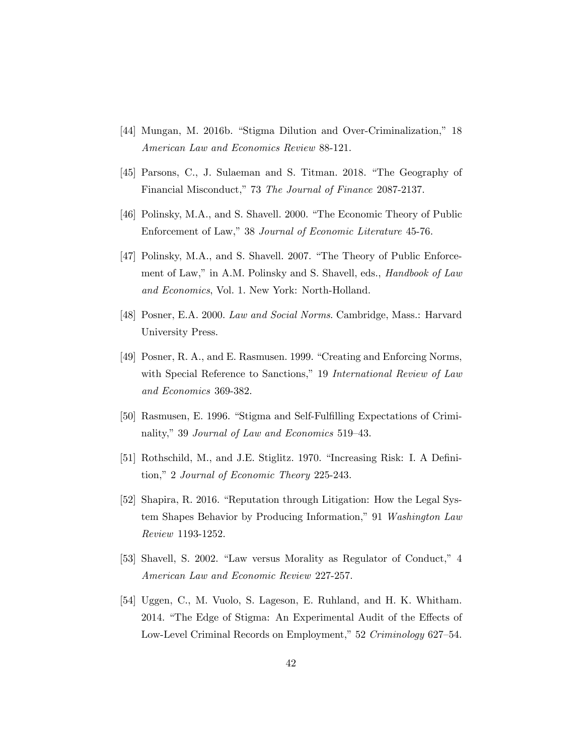- [44] Mungan, M. 2016b. "Stigma Dilution and Over-Criminalization," 18 American Law and Economics Review 88-121.
- [45] Parsons, C., J. Sulaeman and S. Titman. 2018. "The Geography of Financial Misconduct,î 73 The Journal of Finance 2087-2137.
- [46] Polinsky, M.A., and S. Shavell. 2000. "The Economic Theory of Public Enforcement of Law," 38 Journal of Economic Literature 45-76.
- [47] Polinsky, M.A., and S. Shavell. 2007. "The Theory of Public Enforcement of Law," in A.M. Polinsky and S. Shavell, eds., *Handbook of Law* and Economics, Vol. 1. New York: North-Holland.
- [48] Posner, E.A. 2000. Law and Social Norms. Cambridge, Mass.: Harvard University Press.
- [49] Posner, R. A., and E. Rasmusen. 1999. "Creating and Enforcing Norms, with Special Reference to Sanctions," 19 International Review of Law and Economics 369-382.
- [50] Rasmusen, E. 1996. "Stigma and Self-Fulfilling Expectations of Criminality," 39 Journal of Law and Economics 519–43.
- [51] Rothschild, M., and J.E. Stiglitz. 1970. "Increasing Risk: I. A Definition," 2 Journal of Economic Theory 225-243.
- [52] Shapira, R. 2016. "Reputation through Litigation: How the Legal System Shapes Behavior by Producing Information," 91 Washington Law Review 1193-1252.
- [53] Shavell, S. 2002. "Law versus Morality as Regulator of Conduct," 4 American Law and Economic Review 227-257.
- [54] Uggen, C., M. Vuolo, S. Lageson, E. Ruhland, and H. K. Whitham. 2014. "The Edge of Stigma: An Experimental Audit of the Effects of Low-Level Criminal Records on Employment," 52 Criminology 627–54.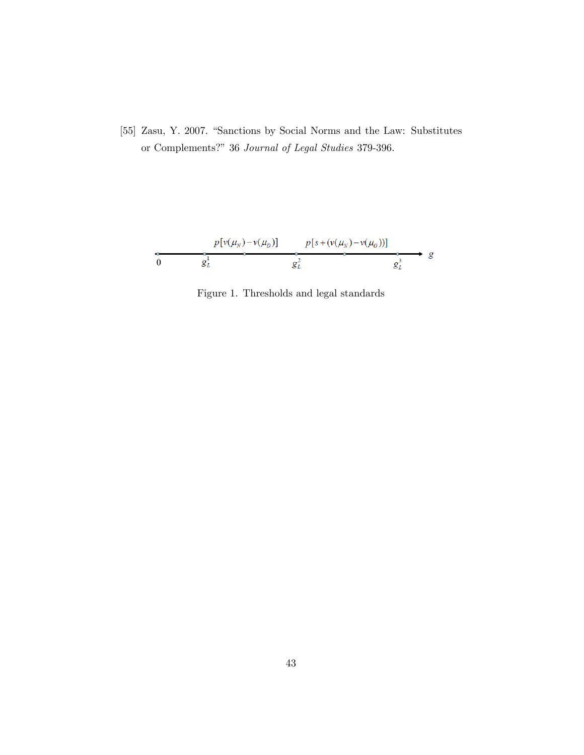[55] Zasu, Y. 2007. "Sanctions by Social Norms and the Law: Substitutes or Complements?î 36 Journal of Legal Studies 379-396.

$$
\begin{array}{ccc}\n & p[v(\mu_N) - v(\mu_D)] & p[s + (v(\mu_N) - v(\mu_G))] \\
\hline\n0 & g_L^1 & g_L^2 & g_L^3\n\end{array}
$$

Figure 1. Thresholds and legal standards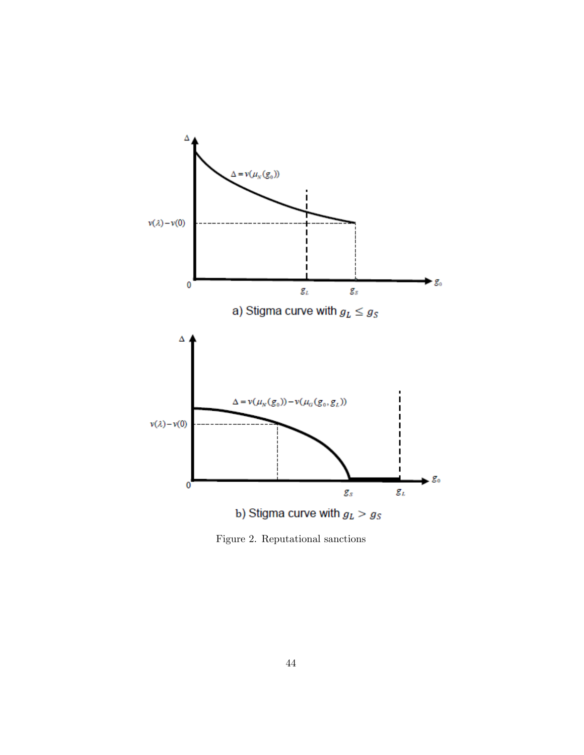

Figure 2. Reputational sanctions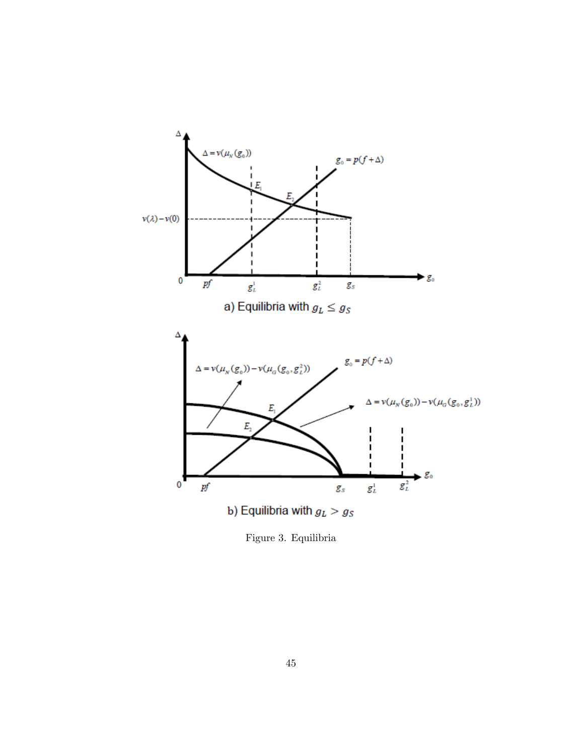

Figure 3. Equilibria